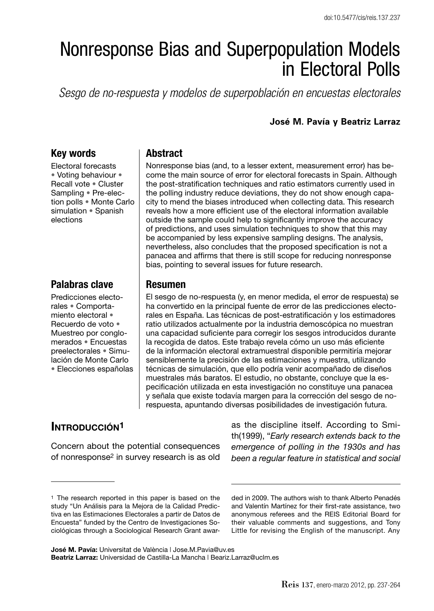# Nonresponse Bias and Superpopulation Models in Electoral Polls

*Sesgo de no-respuesta y modelos de superpoblación en encuestas electorales*

#### **José M. Pavía y Beatriz Larraz**

### **Key words**

Electoral forecasts • Voting behaviour • Recall vote • Cluster Sampling • Pre-election polls • Monte Carlo simulation • Spanish elections

## **Palabras clave**

Predicciones electorales • Comportamiento electoral • Recuerdo de voto • Muestreo por conglomerados • Encuestas preelectorales • Simulación de Monte Carlo • Elecciones españolas

#### **Abstract**

Nonresponse bias (and, to a lesser extent, measurement error) has become the main source of error for electoral forecasts in Spain. Although the post-stratification techniques and ratio estimators currently used in the polling industry reduce deviations, they do not show enough capacity to mend the biases introduced when collecting data. This research reveals how a more efficient use of the electoral information available outside the sample could help to significantly improve the accuracy of predictions, and uses simulation techniques to show that this may be accompanied by less expensive sampling designs. The analysis, nevertheless, also concludes that the proposed specification is not a panacea and affirms that there is still scope for reducing nonresponse bias, pointing to several issues for future research.

#### **Resumen**

El sesgo de no-respuesta (y, en menor medida, el error de respuesta) se ha convertido en la principal fuente de error de las predicciones electorales en España. Las técnicas de post-estratificación y los estimadores ratio utilizados actualmente por la industria demoscópica no muestran una capacidad suficiente para corregir los sesgos introducidos durante la recogida de datos. Este trabajo revela cómo un uso más eficiente de la información electoral extramuestral disponible permitiría mejorar sensiblemente la precisión de las estimaciones y muestra, utilizando técnicas de simulación, que ello podría venir acompañado de diseños muestrales más baratos. El estudio, no obstante, concluye que la especificación utilizada en esta investigación no constituye una panacea y señala que existe todavía margen para la corrección del sesgo de norespuesta, apuntando diversas posibilidades de investigación futura.

# **INTRODUCCIÓN1**

Concern about the potential consequences of nonresponse2 in survey research is as old as the discipline itself. According to Smith(1999), "*Early research extends back to the emergence of polling in the 1930s and has been a regular feature in statistical and social* 

ded in 2009. The authors wish to thank Alberto Penadés and Valentín Martínez for their first-rate assistance, two anonymous referees and the REIS Editorial Board for their valuable comments and suggestions, and Tony Little for revising the English of the manuscript. Any

**José M. Pavía:** Universitat de València | Jose.M.Pavia@uv.es **Beatriz Larraz:** Universidad de Castilla-La Mancha | Beariz.Larraz@uclm.es

<sup>1</sup> The research reported in this paper is based on the study "Un Análisis para la Mejora de la Calidad Predictiva en las Estimaciones Electorales a partir de Datos de Encuesta" funded by the Centro de Investigaciones Sociológicas through a Sociological Research Grant awar-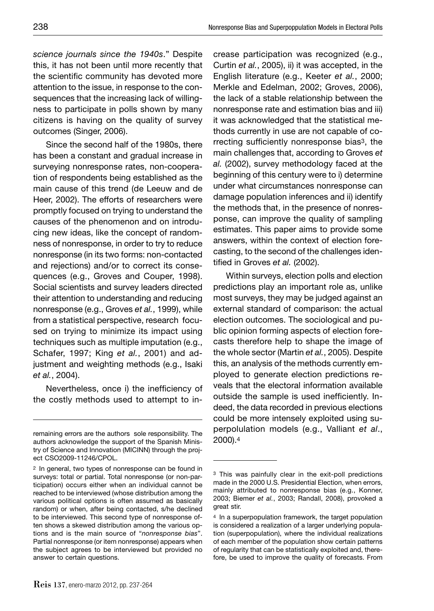*science journals since the 1940s*." Despite this, it has not been until more recently that the scientific community has devoted more attention to the issue, in response to the consequences that the increasing lack of willingness to participate in polls shown by many citizens is having on the quality of survey outcomes (Singer, 2006).

Since the second half of the 1980s, there has been a constant and gradual increase in surveying nonresponse rates, non-cooperation of respondents being established as the main cause of this trend (de Leeuw and de Heer, 2002). The efforts of researchers were promptly focused on trying to understand the causes of the phenomenon and on introducing new ideas, like the concept of randomness of nonresponse, in order to try to reduce nonresponse (in its two forms: non-contacted and rejections) and/or to correct its consequences (e.g., Groves and Couper, 1998). Social scientists and survey leaders directed their attention to understanding and reducing nonresponse (e.g., Groves *et al.*, 1999), while from a statistical perspective, research focused on trying to minimize its impact using techniques such as multiple imputation (e.g., Schafer, 1997; King *et al.*, 2001) and adjustment and weighting methods (e.g., Isaki *et al.*, 2004).

Nevertheless, once i) the inefficiency of the costly methods used to attempt to increase participation was recognized (e.g., Curtin *et al.*, 2005), ii) it was accepted, in the English literature (e.g., Keeter *et al.*, 2000; Merkle and Edelman, 2002; Groves, 2006), the lack of a stable relationship between the nonresponse rate and estimation bias and iii) it was acknowledged that the statistical methods currently in use are not capable of correcting sufficiently nonresponse bias<sup>3</sup>, the main challenges that, according to Groves *et al.* (2002), survey methodology faced at the beginning of this century were to i) determine under what circumstances nonresponse can damage population inferences and ii) identify the methods that, in the presence of nonresponse, can improve the quality of sampling estimates. This paper aims to provide some answers, within the context of election forecasting, to the second of the challenges identified in Groves *et al.* (2002).

Within surveys, election polls and election predictions play an important role as, unlike most surveys, they may be judged against an external standard of comparison: the actual election outcomes. The sociological and public opinion forming aspects of election forecasts therefore help to shape the image of the whole sector (Martin *et al.*, 2005). Despite this, an analysis of the methods currently employed to generate election predictions reveals that the electoral information available outside the sample is used inefficiently. Indeed, the data recorded in previous elections could be more intensely exploited using superpolulation models (e.g., Valliant *et al*., 2000).4

remaining errors are the authors sole responsibility. The authors acknowledge the support of the Spanish Ministry of Science and Innovation (MICINN) through the project CSO2009-11246/CPOL.

<sup>2</sup> In general, two types of nonresponse can be found in surveys: total or partial. Total nonresponse (or non-participation) occurs either when an individual cannot be reached to be interviewed (whose distribution among the various political options is often assumed as basically random) or when, after being contacted, s/he declined to be interviewed. This second type of nonresponse often shows a skewed distribution among the various options and is the main source of "*nonresponse bias*". Partial nonresponse (or item nonresponse) appears when the subject agrees to be interviewed but provided no answer to certain questions.

<sup>3</sup> This was painfully clear in the exit-poll predictions made in the 2000 U.S. Presidential Election, when errors, mainly attributed to nonresponse bias (e.g., Konner, 2003; Biemer *et al.*, 2003; Randall, 2008), provoked a great stir.

<sup>4</sup> In a superpopulation framework, the target population is considered a realization of a larger underlying population (superpopulation), where the individual realizations of each member of the population show certain patterns of regularity that can be statistically exploited and, therefore, be used to improve the quality of forecasts. From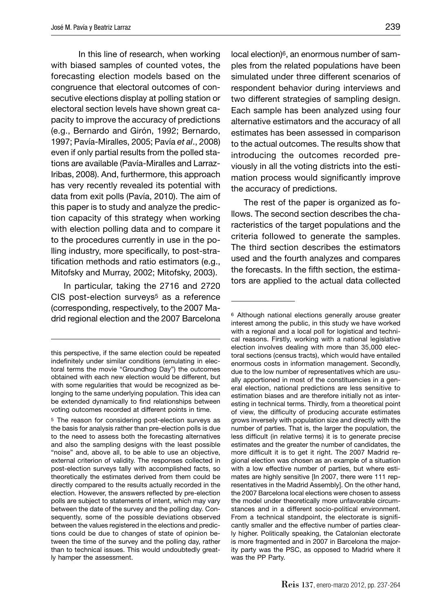In this line of research, when working with biased samples of counted votes, the forecasting election models based on the congruence that electoral outcomes of consecutive elections display at polling station or electoral section levels have shown great capacity to improve the accuracy of predictions (e.g., Bernardo and Girón, 1992; Bernardo, 1997; Pavía-Miralles, 2005; Pavía *et al*., 2008) even if only partial results from the polled stations are available (Pavía-Miralles and Larraz-Iribas, 2008). And, furthermore, this approach has very recently revealed its potential with data from exit polls (Pavía, 2010). The aim of this paper is to study and analyze the prediction capacity of this strategy when working with election polling data and to compare it to the procedures currently in use in the polling industry, more specifically, to post-stratification methods and ratio estimators (e.g., Mitofsky and Murray, 2002; Mitofsky, 2003).

In particular, taking the 2716 and 2720 CIS post-election surveys<sup>5</sup> as a reference (corresponding, respectively, to the 2007 Madrid regional election and the 2007 Barcelona local election)<sup>6</sup>, an enormous number of samples from the related populations have been simulated under three different scenarios of respondent behavior during interviews and two different strategies of sampling design. Each sample has been analyzed using four alternative estimators and the accuracy of all estimates has been assessed in comparison to the actual outcomes. The results show that introducing the outcomes recorded previously in all the voting districts into the estimation process would significantly improve the accuracy of predictions.

The rest of the paper is organized as follows. The second section describes the characteristics of the target populations and the criteria followed to generate the samples. The third section describes the estimators used and the fourth analyzes and compares the forecasts. In the fifth section, the estimators are applied to the actual data collected

this perspective, if the same election could be repeated indefinitely under similar conditions (emulating in electoral terms the movie "Groundhog Day") the outcomes obtained with each new election would be different, but with some regularities that would be recognized as belonging to the same underlying population. This idea can be extended dynamically to find relationships between voting outcomes recorded at different points in time.

<sup>5</sup> The reason for considering post-election surveys as the basis for analysis rather than pre-election polls is due to the need to assess both the forecasting alternatives and also the sampling designs with the least possible "noise" and, above all, to be able to use an objective, external criterion of validity. The responses collected in post-election surveys tally with accomplished facts, so theoretically the estimates derived from them could be directly compared to the results actually recorded in the election. However, the answers reflected by pre-election polls are subject to statements of intent, which may vary between the date of the survey and the polling day. Consequently, some of the possible deviations observed between the values registered in the elections and predictions could be due to changes of state of opinion between the time of the survey and the polling day, rather than to technical issues. This would undoubtedly greatly hamper the assessment.

<sup>6</sup> Although national elections generally arouse greater interest among the public, in this study we have worked with a regional and a local poll for logistical and technical reasons. Firstly, working with a national legislative election involves dealing with more than 35,000 electoral sections (census tracts), which would have entailed enormous costs in information management. Secondly, due to the low number of representatives which are usually apportioned in most of the constituencies in a general election, national predictions are less sensitive to estimation biases and are therefore initially not as interesting in technical terms. Thirdly, from a theoretical point of view, the difficulty of producing accurate estimates grows inversely with population size and directly with the number of parties. That is, the larger the population, the less difficult (in relative terms) it is to generate precise estimates and the greater the number of candidates, the more difficult it is to get it right. The 2007 Madrid regional election was chosen as an example of a situation with a low effective number of parties, but where estimates are highly sensitive [In 2007, there were 111 representatives in the Madrid Assembly]. On the other hand, the 2007 Barcelona local elections were chosen to assess the model under theoretically more unfavorable circumstances and in a different socio-political environment. From a technical standpoint, the electorate is significantly smaller and the effective number of parties clearly higher. Politically speaking, the Catalonian electorate is more fragmented and in 2007 in Barcelona the majority party was the PSC, as opposed to Madrid where it was the PP Party.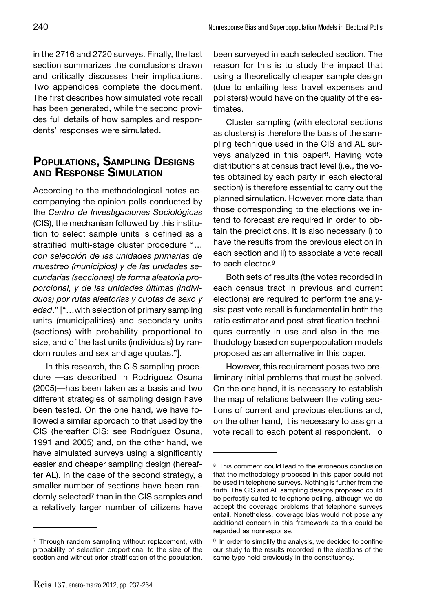in the 2716 and 2720 surveys. Finally, the last section summarizes the conclusions drawn and critically discusses their implications. Two appendices complete the document. The first describes how simulated vote recall has been generated, while the second provides full details of how samples and respondents' responses were simulated.

## **POPULATIONS, SAMPLING DESIGNS AND RESPONSE SIMULATION**

According to the methodological notes accompanying the opinion polls conducted by the *Centro de Investigaciones Sociológicas* (CIS), the mechanism followed by this institution to select sample units is defined as a stratified multi-stage cluster procedure "... *con selección de las unidades primarias de muestreo (municipios) y de las unidades secundarias (secciones) de forma aleatoria proporcional, y de las unidades últimas (individuos) por rutas aleatorias y cuotas de sexo y edad*." ["…with selection of primary sampling units (municipalities) and secondary units (sections) with probability proportional to size, and of the last units (individuals) by random routes and sex and age quotas."].

In this research, the CIS sampling procedure —as described in Rodríguez Osuna (2005)—has been taken as a basis and two different strategies of sampling design have been tested. On the one hand, we have followed a similar approach to that used by the CIS (hereafter CIS; see Rodríguez Osuna, 1991 and 2005) and, on the other hand, we have simulated surveys using a significantly easier and cheaper sampling design (hereafter AL). In the case of the second strategy, a smaller number of sections have been randomly selected7 than in the CIS samples and a relatively larger number of citizens have

been surveyed in each selected section. The reason for this is to study the impact that using a theoretically cheaper sample design (due to entailing less travel expenses and pollsters) would have on the quality of the estimates.

Cluster sampling (with electoral sections as clusters) is therefore the basis of the sampling technique used in the CIS and AL surveys analyzed in this paper8. Having vote distributions at census tract level (i.e., the votes obtained by each party in each electoral section) is therefore essential to carry out the planned simulation. However, more data than those corresponding to the elections we intend to forecast are required in order to obtain the predictions. It is also necessary i) to have the results from the previous election in each section and ii) to associate a vote recall to each elector.9

Both sets of results (the votes recorded in each census tract in previous and current elections) are required to perform the analysis: past vote recall is fundamental in both the ratio estimator and post-stratification techniques currently in use and also in the methodology based on superpopulation models proposed as an alternative in this paper.

However, this requirement poses two preliminary initial problems that must be solved. On the one hand, it is necessary to establish the map of relations between the voting sections of current and previous elections and, on the other hand, it is necessary to assign a vote recall to each potential respondent. To

<sup>7</sup> Through random sampling without replacement, with probability of selection proportional to the size of the section and without prior stratification of the population.

<sup>8</sup> This comment could lead to the erroneous conclusion that the methodology proposed in this paper could not be used in telephone surveys. Nothing is further from the truth. The CIS and AL sampling designs proposed could be perfectly suited to telephone polling, although we do accept the coverage problems that telephone surveys entail. Nonetheless, coverage bias would not pose any additional concern in this framework as this could be regarded as nonresponse.

<sup>&</sup>lt;sup>9</sup> In order to simplify the analysis, we decided to confine our study to the results recorded in the elections of the same type held previously in the constituency.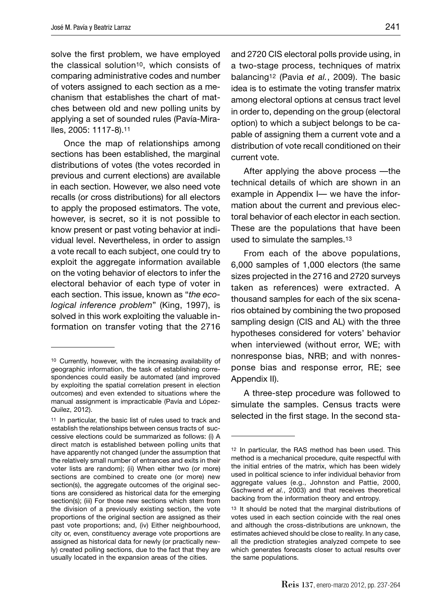solve the first problem, we have employed the classical solution10, which consists of comparing administrative codes and number of voters assigned to each section as a mechanism that establishes the chart of matches between old and new polling units by applying a set of sounded rules (Pavía-Miralles, 2005: 1117-8).11

Once the map of relationships among sections has been established, the marginal distributions of votes (the votes recorded in previous and current elections) are available in each section. However, we also need vote recalls (or cross distributions) for all electors to apply the proposed estimators. The vote, however, is secret, so it is not possible to know present or past voting behavior at individual level. Nevertheless, in order to assign a vote recall to each subject, one could try to exploit the aggregate information available on the voting behavior of electors to infer the electoral behavior of each type of voter in each section. This issue, known as "*the ecological inference problem*" (King, 1997), is solved in this work exploiting the valuable information on transfer voting that the 2716

and 2720 CIS electoral polls provide using, in a two-stage process, techniques of matrix balancing12 (Pavia *et al.*, 2009). The basic idea is to estimate the voting transfer matrix among electoral options at census tract level in order to, depending on the group (electoral option) to which a subject belongs to be capable of assigning them a current vote and a distribution of vote recall conditioned on their current vote.

After applying the above process —the technical details of which are shown in an example in Appendix I— we have the information about the current and previous electoral behavior of each elector in each section. These are the populations that have been used to simulate the samples.13

From each of the above populations, 6,000 samples of 1,000 electors (the same sizes projected in the 2716 and 2720 surveys taken as references) were extracted. A thousand samples for each of the six scenarios obtained by combining the two proposed sampling design (CIS and AL) with the three hypotheses considered for voters' behavior when interviewed (without error, WE; with nonresponse bias, NRB; and with nonresponse bias and response error, RE; see Appendix II).

A three-step procedure was followed to simulate the samples. Census tracts were selected in the first stage. In the second sta-

<sup>10</sup> Currently, however, with the increasing availability of geographic information, the task of establishing correspondences could easily be automated (and improved by exploiting the spatial correlation present in election outcomes) and even extended to situations where the manual assignment is impracticable (Pavía and López-Quilez, 2012).

<sup>11</sup> In particular, the basic list of rules used to track and establish the relationships between census tracts of successive elections could be summarized as follows: (i) A direct match is established between polling units that have apparently not changed (under the assumption that the relatively small number of entrances and exits in their voter lists are random); (ii) When either two (or more) sections are combined to create one (or more) new section(s), the aggregate outcomes of the original sections are considered as historical data for the emerging section(s); (iii) For those new sections which stem from the division of a previously existing section, the vote proportions of the original section are assigned as their past vote proportions; and, (iv) Either neighbourhood, city or, even, constituency average vote proportions are assigned as historical data for newly (or practically newly) created polling sections, due to the fact that they are usually located in the expansion areas of the cities.

<sup>12</sup> In particular, the RAS method has been used. This method is a mechanical procedure, quite respectful with the initial entries of the matrix, which has been widely used in political science to infer individual behavior from aggregate values (e.g., Johnston and Pattie, 2000, Gschwend *et al.*, 2003) and that receives theoretical backing from the information theory and entropy.

<sup>13</sup> It should be noted that the marginal distributions of votes used in each section coincide with the real ones and although the cross-distributions are unknown, the estimates achieved should be close to reality. In any case, all the prediction strategies analyzed compete to see which generates forecasts closer to actual results over the same populations.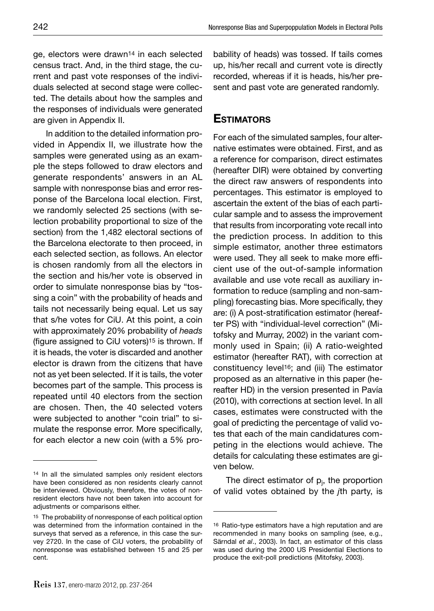ge, electors were drawn14 in each selected census tract. And, in the third stage, the current and past vote responses of the individuals selected at second stage were collected. The details about how the samples and the responses of individuals were generated are given in Appendix II.

In addition to the detailed information provided in Appendix II, we illustrate how the samples were generated using as an example the steps followed to draw electors and generate respondents' answers in an AL sample with nonresponse bias and error response of the Barcelona local election. First, we randomly selected 25 sections (with selection probability proportional to size of the section) from the 1,482 electoral sections of the Barcelona electorate to then proceed, in each selected section, as follows. An elector is chosen randomly from all the electors in the section and his/her vote is observed in order to simulate nonresponse bias by "tossing a coin" with the probability of heads and tails not necessarily being equal. Let us say that s/he votes for CiU. At this point, a coin with approximately 20% probability of *heads* (figure assigned to CiU voters)<sup>15</sup> is thrown. If it is heads, the voter is discarded and another elector is drawn from the citizens that have not as yet been selected. If it is tails, the voter becomes part of the sample. This process is repeated until 40 electors from the section are chosen. Then, the 40 selected voters were subjected to another "coin trial" to simulate the response error. More specifically, for each elector a new coin (with a 5% probability of heads) was tossed. If tails comes up, his/her recall and current vote is directly recorded, whereas if it is heads, his/her present and past vote are generated randomly.

#### **ESTIMATORS**

For each of the simulated samples, four alternative estimates were obtained. First, and as a reference for comparison, direct estimates (hereafter DIR) were obtained by converting the direct raw answers of respondents into percentages. This estimator is employed to ascertain the extent of the bias of each particular sample and to assess the improvement that results from incorporating vote recall into the prediction process. In addition to this simple estimator, another three estimators were used. They all seek to make more efficient use of the out-of-sample information available and use vote recall as auxiliary information to reduce (sampling and non-sampling) forecasting bias. More specifically, they are: (i) A post-stratification estimator (hereafter PS) with "individual-level correction" (Mitofsky and Murray, 2002) in the variant commonly used in Spain; (ii) A ratio-weighted estimator (hereafter RAT), with correction at constituency level16; and (iii) The estimator proposed as an alternative in this paper (hereafter HD) in the version presented in Pavía (2010), with corrections at section level. In all cases, estimates were constructed with the goal of predicting the percentage of valid votes that each of the main candidatures competing in the elections would achieve. The details for calculating these estimates are given below.

The direct estimator of p<sub>j</sub>, the proportion of valid votes obtained by the *j*th party, is

<sup>14</sup> In all the simulated samples only resident electors have been considered as non residents clearly cannot be interviewed. Obviously, therefore, the votes of nonresident electors have not been taken into account for adjustments or comparisons either.

<sup>15</sup> The probability of nonresponse of each political option was determined from the information contained in the surveys that served as a reference, in this case the survey 2720. In the case of CiU voters, the probability of nonresponse was established between 15 and 25 per cent.

<sup>16</sup> Ratio-type estimators have a high reputation and are recommended in many books on sampling (see, e.g., Särndal *et al*., 2003). In fact, an estimator of this class was used during the 2000 US Presidential Elections to produce the exit-poll predictions (Mitofsky, 2003).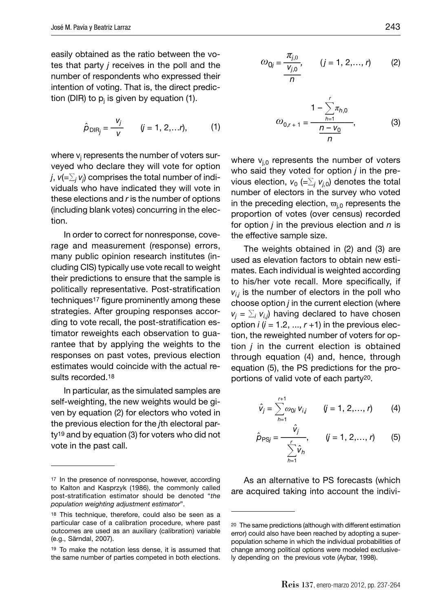easily obtained as the ratio between the votes that party *j* receives in the poll and the number of respondents who expressed their intention of voting. That is, the direct prediction (DIR) to p<sub>j</sub> is given by equation (1).

$$
\hat{p}_{\text{DIR}_j} = \frac{v_j}{v} \qquad (j = 1, 2, ... r), \qquad (1)
$$

where v<sub>j</sub> represents the number of voters surveyed who declare they will vote for option *j*,  $\mathsf{v} (= \sum_j \mathsf{v}_j)$  comprises the total number of individuals who have indicated they will vote in these elections and *r* is the number of options (including blank votes) concurring in the election.

In order to correct for nonresponse, coverage and measurement (response) errors, many public opinion research institutes (including CIS) typically use vote recall to weight their predictions to ensure that the sample is politically representative. Post-stratification techniques<sup>17</sup> figure prominently among these strategies. After grouping responses according to vote recall, the post-stratification estimator reweights each observation to guarantee that by applying the weights to the responses on past votes, previous election estimates would coincide with the actual results recorded.<sup>18</sup>

In particular, as the simulated samples are self-weighting, the new weights would be given by equation (2) for electors who voted in the previous election for the *j*th electoral party19 and by equation (3) for voters who did not vote in the past call.

$$
\omega_{0j} = \frac{\pi_{j,0}}{\frac{V_{j,0}}{n}}, \qquad (j = 1, 2, ..., r)
$$
 (2)

$$
\omega_{0,r+1} = \frac{1 - \sum_{h=1}^{r} \pi_{h,0}}{n},
$$
\n(3)

where  $v_{i,0}$  represents the number of voters who said they voted for option *j* in the previous election,  $v_{0}$  (= $\Sigma_{j}$   $v_{j,0}$ ) denotes the total number of electors in the survey who voted in the preceding election,  $\varpi_{i,0}$  represents the proportion of votes (over census) recorded for option *j* in the previous election and *n* is the effective sample size.

The weights obtained in (2) and (3) are used as elevation factors to obtain new estimates. Each individual is weighted according to his/her vote recall. More specifically, if *vi*,*j* is the number of electors in the poll who choose option *j* in the current election (where  $v_j = \sum_i v_{i,j}$ ) having declared to have chosen option  $i$  ( $i = 1.2, ..., r + 1$ ) in the previous election, the reweighted number of voters for option *j* in the current election is obtained through equation (4) and, hence, through equation (5), the PS predictions for the proportions of valid vote of each party20.

$$
\hat{v}_j = \sum_{h=1}^{r+1} \omega_{0i} \, v_{i,j} \qquad (j = 1, \, 2, \ldots, r) \qquad (4)
$$

$$
\hat{p}_{PSj} = \frac{\hat{v}_j}{\sum_{h=1}^{r} \hat{v}_h}, \qquad (j = 1, 2, ..., r)
$$
 (5)

As an alternative to PS forecasts (which are acquired taking into account the indivi-

<sup>17</sup> In the presence of nonresponse, however, according to Kalton and Kasprzyk (1986), the commonly called post-stratification estimator should be denoted "the *population weighting adjustment estimator*".

<sup>18</sup> This technique, therefore, could also be seen as a particular case of a calibration procedure, where past outcomes are used as an auxiliary (calibration) variable (e.g., Särndal, 2007).

<sup>19</sup> To make the notation less dense, it is assumed that the same number of parties competed in both elections.

<sup>20</sup> The same predictions (although with different estimation error) could also have been reached by adopting a superpopulation scheme in which the individual probabilities of change among political options were modeled exclusively depending on the previous vote (Aybar, 1998).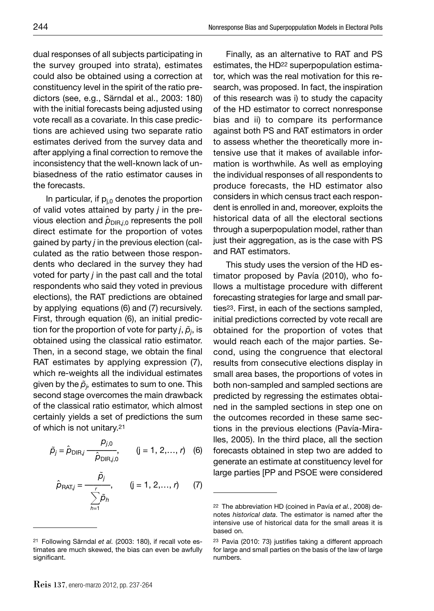dual responses of all subjects participating in the survey grouped into strata), estimates could also be obtained using a correction at constituency level in the spirit of the ratio predictors (see, e.g., Särndal et al., 2003: 180) with the initial forecasts being adjusted using vote recall as a covariate. In this case predictions are achieved using two separate ratio estimates derived from the survey data and after applying a final correction to remove the inconsistency that the well-known lack of unbiasedness of the ratio estimator causes in the forecasts.

In particular, if  $p_{i,0}$  denotes the proportion of valid votes attained by party *j* in the previous election and  $\hat{\rho}_{\text{DIR},i,0}$  represents the poll direct estimate for the proportion of votes gained by party *j* in the previous election (calculated as the ratio between those respondents who declared in the survey they had voted for party *j* in the past call and the total respondents who said they voted in previous elections), the RAT predictions are obtained by applying equations (6) and (7) recursively. First, through equation (6), an initial prediction for the proportion of vote for party *j*,  $\tilde{\rho}_{j}$ , is obtained using the classical ratio estimator. Then, in a second stage, we obtain the final RAT estimates by applying expression (7), which re-weights all the individual estimates given by the  $\tilde{\rho}_{j\cdot}$  estimates to sum to one. This second stage overcomes the main drawback of the classical ratio estimator, which almost certainly yields a set of predictions the sum of which is not unitary.21

$$
\tilde{p}_j = \hat{p}_{\text{DIR},j} \frac{p_{j,0}}{\hat{p}_{\text{DIR},j,0}}, \qquad (j = 1, 2, ..., r) \quad (6)
$$

$$
\hat{p}_{\text{RAT}j} = \frac{\tilde{p}_j}{\sum_{h=1}^r \tilde{p}_h}, \qquad (j = 1, 2, \dots, r) \qquad (7)
$$

Finally, as an alternative to RAT and PS estimates, the HD22 superpopulation estimator, which was the real motivation for this research, was proposed. In fact, the inspiration of this research was i) to study the capacity of the HD estimator to correct nonresponse bias and ii) to compare its performance against both PS and RAT estimators in order to assess whether the theoretically more intensive use that it makes of available information is worthwhile. As well as employing the individual responses of all respondents to produce forecasts, the HD estimator also considers in which census tract each respondent is enrolled in and, moreover, exploits the historical data of all the electoral sections through a superpopulation model, rather than just their aggregation, as is the case with PS and RAT estimators.

This study uses the version of the HD estimator proposed by Pavía (2010), who follows a multistage procedure with different forecasting strategies for large and small parties23. First, in each of the sections sampled, initial predictions corrected by vote recall are obtained for the proportion of votes that would reach each of the major parties. Second, using the congruence that electoral results from consecutive elections display in small area bases, the proportions of votes in both non-sampled and sampled sections are predicted by regressing the estimates obtained in the sampled sections in step one on the outcomes recorded in these same sections in the previous elections (Pavía-Miralles, 2005). In the third place, all the section forecasts obtained in step two are added to generate an estimate at constituency level for large parties [PP and PSOE were considered

<sup>21</sup> Following Särndal *et al.* (2003: 180), if recall vote estimates are much skewed, the bias can even be awfully significant.

<sup>22</sup> The abbreviation HD (coined in Pavía *et al.*, 2008) denotes *historical data*. The estimator is named after the intensive use of historical data for the small areas it is based on.

<sup>&</sup>lt;sup>23</sup> Pavia (2010: 73) justifies taking a different approach for large and small parties on the basis of the law of large numbers.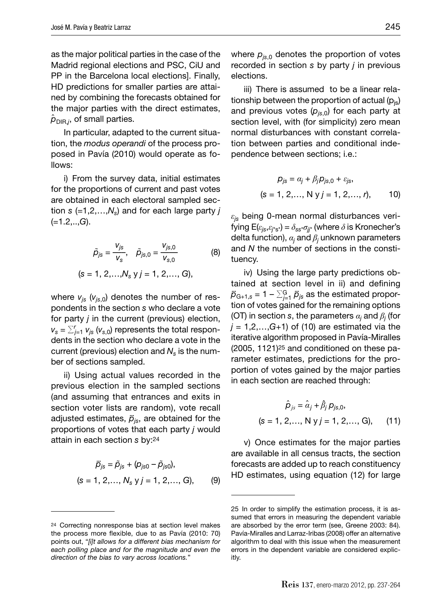as the major political parties in the case of the Madrid regional elections and PSC, CiU and PP in the Barcelona local elections]. Finally, HD predictions for smaller parties are attained by combining the forecasts obtained for the major parties with the direct estimates,  $\hat{\rho}_{{\sf DIR},j}$ , of small parties.

In particular, adapted to the current situation, the *modus operandi* of the process proposed in Pavía (2010) would operate as follows:

i) From the survey data, initial estimates for the proportions of current and past votes are obtained in each electoral sampled section  $s$  (=1,2,..., $N_s$ ) and for each large party *j* (=1.2,..,*G*).

$$
\tilde{p}_{js} = \frac{v_{js}}{v_s}, \quad \tilde{p}_{js,0} = \frac{v_{js,0}}{v_{s,0}}
$$
\n
$$
(s = 1, 2, ..., N_s \text{ y } j = 1, 2, ..., G),
$$
\n(8)

where  $v_{is}$  ( $v_{is,0}$ ) denotes the number of respondents in the section *s* who declare a vote for party *j* in the current (previous) election,  $v_s = \sum_{j=1}^r v_{js} (v_{s,0})$  represents the total respondents in the section who declare a vote in the current (previous) election and  $N<sub>s</sub>$  is the number of sections sampled.

ii) Using actual values recorded in the previous election in the sampled sections (and assuming that entrances and exits in section voter lists are random), vote recall adjusted estimates,  $\ddot{p}_{is}$ , are obtained for the proportions of votes that each party *j* would attain in each section *s* by:24

$$
\ddot{p}_{js} = \tilde{p}_{js} + (p_{js0} - \tilde{p}_{js0}),
$$
  
(s = 1, 2, ..., N<sub>s</sub> y j = 1, 2, ..., G), (9)

where  $p_{is,0}$  denotes the proportion of votes recorded in section *s* by party *j* in previous elections.

iii) There is assumed to be a linear relationship between the proportion of actual  $(p_{is})$ and previous votes  $(p_{is,0})$  for each party at section level, with (for simplicity) zero mean normal disturbances with constant correlation between parties and conditional independence between sections; i.e.:

$$
p_{js} = \alpha_j + \beta_j p_{js,0} + \varepsilon_{js},
$$
  
(s = 1, 2,..., N y j = 1, 2,..., r), 10)

*εjs* being 0-mean normal disturbances verifying  $E(\varepsilon_{is}, \varepsilon_{i^*s^*}) = \delta_{ss^*} \sigma_{ii^*}$  (where  $\delta$  is Kronecher's delta function), *α<sup>j</sup>* and *β<sup>j</sup>* unknown parameters and *N* the number of sections in the constituency.

iv) Using the large party predictions obtained at section level in ii) and defining  $\ddot{\rho}_{\mathrm{G+1},\mathrm{s}}$  = 1 –  $\sum_{j=1}^{\mathrm{G}}\ddot{\rho}_{j\mathrm{s}}$  as the estimated proportion of votes gained for the remaining options (OT) in section *s*, the parameters  $\alpha_j$  and  $\beta_j$  (for  $j = 1, 2, \ldots, G+1$  of (10) are estimated via the iterative algorithm proposed in Pavía-Miralles (2005, 1121)25 and conditioned on these parameter estimates, predictions for the proportion of votes gained by the major parties in each section are reached through:

$$
\hat{\rho}_{js} = \hat{\alpha}_j + \hat{\beta}_j p_{js,0},
$$
  
(s = 1, 2,..., N y j = 1, 2,..., G), (11)

v) Once estimates for the major parties are available in all census tracts, the section forecasts are added up to reach constituency HD estimates, using equation (12) for large

<sup>24</sup> Correcting nonresponse bias at section level makes the process more flexible, due to as Pavía (2010: 70) points out, "*[i]t allows for a different bias mechanism for each polling place and for the magnitude and even the direction of the bias to vary across locations.*"

<sup>25</sup> In order to simplify the estimation process, it is assumed that errors in measuring the dependent variable are absorbed by the error term (see, Greene 2003: 84). Pavía-Miralles and Larraz-Iribas (2008) offer an alternative algorithm to deal with this issue when the measurement errors in the dependent variable are considered explicitly.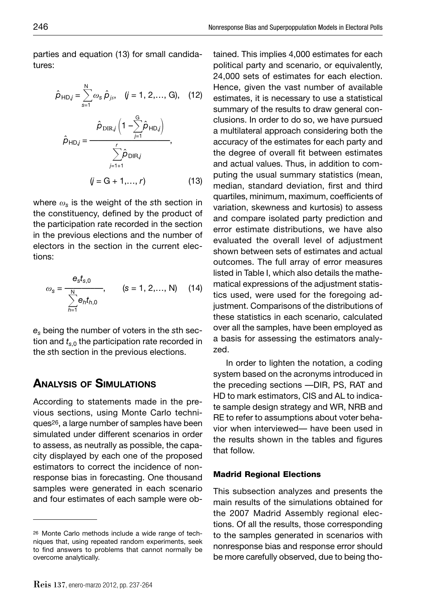parties and equation (13) for small candidatures:

$$
\hat{\rho}_{HDj} = \sum_{s=1}^{N} \omega_s \hat{\rho}_{js}, \quad (j = 1, 2, ..., G), \quad (12)
$$

$$
\hat{\rho}_{HDj} = \frac{\hat{\rho}_{DIR,j} \left(1 - \sum_{j=1}^{G} \hat{\rho}_{HDj}\right)}{\sum_{j=1+1}^{r} \hat{\rho}_{DIRj}},
$$

$$
(j = G + 1, ..., r) \quad (13)
$$

where *ωs* is the weight of the *s*th section in the constituency, defined by the product of the participation rate recorded in the section in the previous elections and the number of electors in the section in the current elections:

$$
\omega_{s} = \frac{e_{s}t_{s,0}}{\sum_{h=1}^{N} e_{h}t_{h,0}}, \qquad (s = 1, 2,..., N) \quad (14)
$$

*es* being the number of voters in the *s*th section and  $t_{s,0}$  the participation rate recorded in the *s*th section in the previous elections.

### **ANALYSIS OF SIMULATIONS**

According to statements made in the previous sections, using Monte Carlo techniques26, a large number of samples have been simulated under different scenarios in order to assess, as neutrally as possible, the capacity displayed by each one of the proposed estimators to correct the incidence of nonresponse bias in forecasting. One thousand samples were generated in each scenario and four estimates of each sample were ob-

tained. This implies 4,000 estimates for each political party and scenario, or equivalently, 24,000 sets of estimates for each election. Hence, given the vast number of available estimates, it is necessary to use a statistical summary of the results to draw general conclusions. In order to do so, we have pursued a multilateral approach considering both the accuracy of the estimates for each party and the degree of overall fit between estimates and actual values. Thus, in addition to computing the usual summary statistics (mean, median, standard deviation, first and third quartiles, minimum, maximum, coefficients of variation, skewness and kurtosis) to assess and compare isolated party prediction and error estimate distributions, we have also evaluated the overall level of adjustment shown between sets of estimates and actual outcomes. The full array of error measures listed in Table I, which also details the mathematical expressions of the adjustment statistics used, were used for the foregoing adjustment. Comparisons of the distributions of these statistics in each scenario, calculated over all the samples, have been employed as a basis for assessing the estimators analyzed.

In order to lighten the notation, a coding system based on the acronyms introduced in the preceding sections —DIR, PS, RAT and HD to mark estimators, CIS and AL to indicate sample design strategy and WR, NRB and RE to refer to assumptions about voter behavior when interviewed— have been used in the results shown in the tables and figures that follow.

#### **Madrid Regional Elections**

This subsection analyzes and presents the main results of the simulations obtained for the 2007 Madrid Assembly regional elections. Of all the results, those corresponding to the samples generated in scenarios with nonresponse bias and response error should be more carefully observed, due to being tho-

<sup>26</sup> Monte Carlo methods include a wide range of techniques that, using repeated random experiments, seek to find answers to problems that cannot normally be overcome analytically.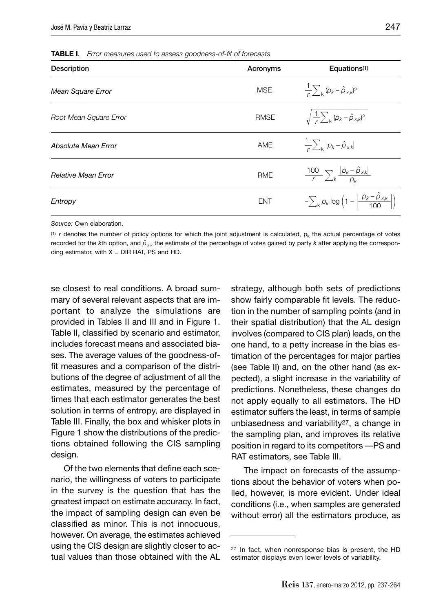**TABLE I***. Error measures used to assess goodness-of-fi t of forecasts*

| Description                | Acronyms   | Equations <sup>(1)</sup>                                                            |
|----------------------------|------------|-------------------------------------------------------------------------------------|
| Mean Square Error          | <b>MSE</b> | $\frac{1}{r}\sum_{k} (p_k - \hat{p}_{x,k})^2$                                       |
| Root Mean Square Error     | RMSE       | $\sqrt{\frac{1}{r}\sum_{k}^{}(\rho_k-\hat{\rho}_{x,k})^2}$                          |
| Absolute Mean Error        | <b>AME</b> | $\frac{1}{\kappa}\sum_{\mathbf{k}} p_{\mathbf{k}}-\hat{p}_{\mathbf{x},\mathbf{k}} $ |
| <b>Relative Mean Error</b> | <b>RME</b> | $\frac{100}{r} \sum_{k} \frac{ p_k - \hat{p}_{x,k} }{p_k}$                          |
| Entropy                    | <b>ENT</b> | $-\sum_{k} p_k \log \left(1-\left \frac{p_k-\hat{p}_{x,k}}{100}\right \right)$      |

 $(1)$  *r* denotes the number of policy options for which the joint adjustment is calculated,  $p_k$  the actual percentage of votes recorded for the *k*th option, and  $\hat\rho_{\chi,k}$  the estimate of the percentage of votes gained by party  $k$  after applying the corresponding estimator, with  $X = DIR RAT$ , PS and HD.

se closest to real conditions. A broad summary of several relevant aspects that are important to analyze the simulations are provided in Tables II and III and in Figure 1. Table II, classified by scenario and estimator, includes forecast means and associated biases. The average values of the goodness-offit measures and a comparison of the distributions of the degree of adjustment of all the estimates, measured by the percentage of times that each estimator generates the best solution in terms of entropy, are displayed in Table III. Finally, the box and whisker plots in Figure 1 show the distributions of the predictions obtained following the CIS sampling design.

Of the two elements that define each scenario, the willingness of voters to participate in the survey is the question that has the greatest impact on estimate accuracy. In fact, the impact of sampling design can even be classified as minor. This is not innocuous, however. On average, the estimates achieved using the CIS design are slightly closer to actual values than those obtained with the AL

strategy, although both sets of predictions show fairly comparable fit levels. The reduction in the number of sampling points (and in their spatial distribution) that the AL design involves (compared to CIS plan) leads, on the one hand, to a petty increase in the bias estimation of the percentages for major parties (see Table II) and, on the other hand (as expected), a slight increase in the variability of predictions. Nonetheless, these changes do not apply equally to all estimators. The HD estimator suffers the least, in terms of sample unbiasedness and variability27, a change in the sampling plan, and improves its relative position in regard to its competitors —PS and RAT estimators, see Table III.

The impact on forecasts of the assumptions about the behavior of voters when polled, however, is more evident. Under ideal conditions (i.e., when samples are generated without error) all the estimators produce, as

<sup>27</sup> In fact, when nonresponse bias is present, the HD estimator displays even lower levels of variability.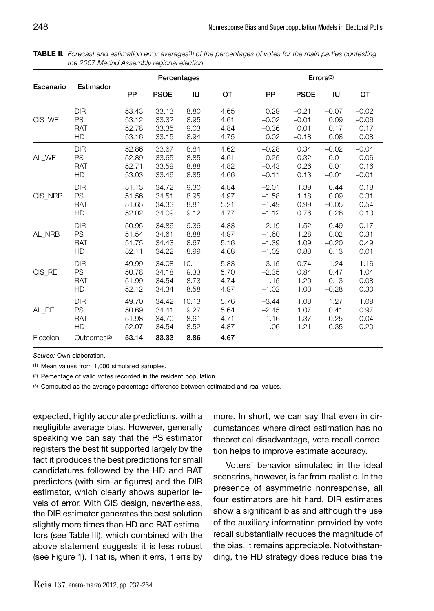|           | Estimador               |           |             | Percentages |      |         |             | Errors <sup>(3)</sup> |         |
|-----------|-------------------------|-----------|-------------|-------------|------|---------|-------------|-----------------------|---------|
| Escenario |                         | <b>PP</b> | <b>PSOE</b> | IU          | OТ   | PP      | <b>PSOE</b> | IU                    | OТ      |
| CIS WE    | <b>DIR</b>              | 53.43     | 33.13       | 8.80        | 4.65 | 0.29    | $-0.21$     | $-0.07$               | $-0.02$ |
|           | <b>PS</b>               | 53.12     | 33.32       | 8.95        | 4.61 | $-0.02$ | $-0.01$     | 0.09                  | $-0.06$ |
|           | <b>RAT</b>              | 52.78     | 33.35       | 9.03        | 4.84 | $-0.36$ | 0.01        | 0.17                  | 0.17    |
|           | HD                      | 53.16     | 33.15       | 8.94        | 4.75 | 0.02    | $-0.18$     | 0.08                  | 0.08    |
| AL WE     | <b>DIR</b>              | 52.86     | 33.67       | 8.84        | 4.62 | $-0.28$ | 0.34        | $-0.02$               | $-0.04$ |
|           | PS                      | 52.89     | 33.65       | 8.85        | 4.61 | $-0.25$ | 0.32        | $-0.01$               | $-0.06$ |
|           | <b>RAT</b>              | 52.71     | 33.59       | 8.88        | 4.82 | $-0.43$ | 0.26        | 0.01                  | 0.16    |
|           | HD                      | 53.03     | 33.46       | 8.85        | 4.66 | $-0.11$ | 0.13        | $-0.01$               | $-0.01$ |
| CIS NRB   | <b>DIR</b>              | 51.13     | 34.72       | 9.30        | 4.84 | $-2.01$ | 1.39        | 0.44                  | 0.18    |
|           | PS                      | 51.56     | 34.51       | 8.95        | 4.97 | $-1.58$ | 1.18        | 0.09                  | 0.31    |
|           | <b>RAT</b>              | 51.65     | 34.33       | 8.81        | 5.21 | $-1.49$ | 0.99        | $-0.05$               | 0.54    |
|           | HD                      | 52.02     | 34.09       | 9.12        | 4.77 | $-1.12$ | 0.76        | 0.26                  | 0.10    |
| AL_NRB    | <b>DIR</b>              | 50.95     | 34.86       | 9.36        | 4.83 | $-2.19$ | 1.52        | 0.49                  | 0.17    |
|           | <b>PS</b>               | 51.54     | 34.61       | 8.88        | 4.97 | $-1.60$ | 1.28        | 0.02                  | 0.31    |
|           | <b>RAT</b>              | 51.75     | 34.43       | 8.67        | 5.16 | $-1.39$ | 1.09        | $-0.20$               | 0.49    |
|           | HD                      | 52.11     | 34.22       | 8.99        | 4.68 | $-1.02$ | 0.88        | 0.13                  | 0.01    |
| CIS RE    | <b>DIR</b>              | 49.99     | 34.08       | 10.11       | 5.83 | $-3.15$ | 0.74        | 1.24                  | 1.16    |
|           | PS                      | 50.78     | 34.18       | 9.33        | 5.70 | $-2.35$ | 0.84        | 0.47                  | 1.04    |
|           | <b>RAT</b>              | 51.99     | 34.54       | 8.73        | 4.74 | $-1.15$ | 1.20        | $-0.13$               | 0.08    |
|           | HD                      | 52.12     | 34.34       | 8.58        | 4.97 | $-1.02$ | 1.00        | $-0.28$               | 0.30    |
| AL RE     | <b>DIR</b>              | 49.70     | 34.42       | 10.13       | 5.76 | $-3.44$ | 1.08        | 1.27                  | 1.09    |
|           | <b>PS</b>               | 50.69     | 34.41       | 9.27        | 5.64 | $-2.45$ | 1.07        | 0.41                  | 0.97    |
|           | <b>RAT</b>              | 51.98     | 34.70       | 8.61        | 4.71 | $-1.16$ | 1.37        | $-0.25$               | 0.04    |
|           | HD                      | 52.07     | 34.54       | 8.52        | 4.87 | $-1.06$ | 1.21        | $-0.35$               | 0.20    |
| Eleccion  | Outcomes <sup>(2)</sup> | 53.14     | 33.33       | 8.86        | 4.67 |         |             |                       |         |

**TABLE II***. Forecast and estimation error averages*(1) *of the percentages of votes for the main parties contesting the 2007 Madrid Assembly regional election*

(1) Mean values from 1,000 simulated samples.

(2) Percentage of valid votes recorded in the resident population.

(3) Computed as the average percentage difference between estimated and real values.

expected, highly accurate predictions, with a negligible average bias. However, generally speaking we can say that the PS estimator registers the best fit supported largely by the fact it produces the best predictions for small candidatures followed by the HD and RAT predictors (with similar figures) and the DIR estimator, which clearly shows superior levels of error. With CIS design, nevertheless, the DIR estimator generates the best solution slightly more times than HD and RAT estimators (see Table III), which combined with the above statement suggests it is less robust (see Figure 1). That is, when it errs, it errs by

more. In short, we can say that even in circumstances where direct estimation has no theoretical disadvantage, vote recall correction helps to improve estimate accuracy.

Voters' behavior simulated in the ideal scenarios, however, is far from realistic. In the presence of asymmetric nonresponse, all four estimators are hit hard. DIR estimates show a significant bias and although the use of the auxiliary information provided by vote recall substantially reduces the magnitude of the bias, it remains appreciable. Notwithstanding, the HD strategy does reduce bias the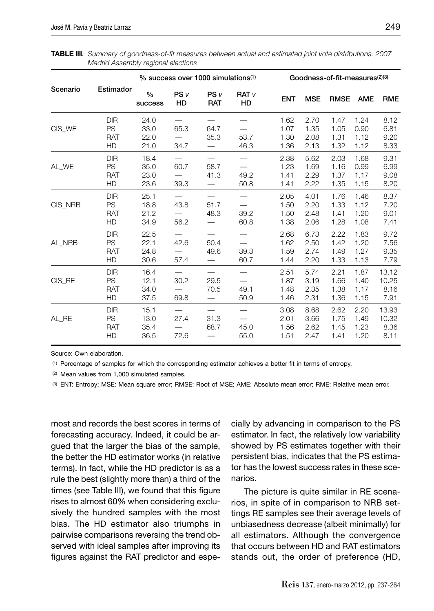|          |                                      |                              |              | % success over 1000 simulations <sup>(1)</sup> |                                      |                              |                              | Goodness-of-fit-measures(2)(3) |                              |                                |
|----------|--------------------------------------|------------------------------|--------------|------------------------------------------------|--------------------------------------|------------------------------|------------------------------|--------------------------------|------------------------------|--------------------------------|
| Scenario | Estimador                            | $\frac{0}{0}$<br>success     | PSV<br>HD    | PSV<br><b>RAT</b>                              | <b>RAT</b> <sub>v</sub><br><b>HD</b> | <b>ENT</b>                   | <b>MSE</b>                   | <b>RMSE</b>                    | <b>AME</b>                   | <b>RME</b>                     |
| CIS_WE   | DIR<br>PS<br><b>RAT</b><br>HD        | 24.0<br>33.0<br>22.0<br>21.0 | 65.3<br>34.7 | 64.7<br>35.3                                   | 53.7<br>46.3                         | 1.62<br>1.07<br>1.30<br>1.36 | 2.70<br>1.35<br>2.08<br>2.13 | 1.47<br>1.05<br>1.31<br>1.32   | 1.24<br>0.90<br>1.12<br>1.12 | 8.12<br>6.81<br>9.20<br>8.33   |
| AL_WE    | <b>DIR</b><br>PS<br><b>RAT</b><br>HD | 18.4<br>35.0<br>23.0<br>23.6 | 60.7<br>39.3 | 58.7<br>41.3                                   | 49.2<br>50.8                         | 2.38<br>1.23<br>1.41<br>1.41 | 5.62<br>1.69<br>2.29<br>2.22 | 2.03<br>1.16<br>1.37<br>1.35   | 1.68<br>0.99<br>1.17<br>1.15 | 9.31<br>6.99<br>9.08<br>8.20   |
| CIS_NRB  | <b>DIR</b><br>PS<br><b>RAT</b><br>HD | 25.1<br>18.8<br>21.2<br>34.9 | 43.8<br>56.2 | 51.7<br>48.3                                   | 39.2<br>60.8                         | 2.05<br>1.50<br>1.50<br>1.38 | 4.01<br>2.20<br>2.48<br>2.06 | 1.76<br>1.33<br>1.41<br>1.28   | 1.46<br>1.12<br>1.20<br>1.08 | 8.37<br>7.20<br>9.01<br>7.41   |
| AL NRB   | <b>DIR</b><br>PS<br><b>RAT</b><br>HD | 22.5<br>22.1<br>24.8<br>30.6 | 42.6<br>57.4 | 50.4<br>49.6                                   | 39.3<br>60.7                         | 2.68<br>1.62<br>1.59<br>1.44 | 6.73<br>2.50<br>2.74<br>2.20 | 2.22<br>1.42<br>1.49<br>1.33   | 1.83<br>1.20<br>1.27<br>1.13 | 9.72<br>7.56<br>9.35<br>7.79   |
| CIS RE   | <b>DIR</b><br>PS<br><b>RAT</b><br>HD | 16.4<br>12.1<br>34.0<br>37.5 | 30.2<br>69.8 | 29.5<br>70.5                                   | 49.1<br>50.9                         | 2.51<br>1.87<br>1.48<br>1.46 | 5.74<br>3.19<br>2.35<br>2.31 | 2.21<br>1.66<br>1.38<br>1.36   | 1.87<br>1.40<br>1.17<br>1.15 | 13.12<br>10.25<br>8.16<br>7.91 |
| AL RE    | <b>DIR</b><br>PS<br><b>RAT</b><br>HD | 15.1<br>13.0<br>35.4<br>36.5 | 27.4<br>72.6 | 31.3<br>68.7                                   | 45.0<br>55.0                         | 3.08<br>2.01<br>1.56<br>1.51 | 8.68<br>3.66<br>2.62<br>2.47 | 2.62<br>1.75<br>1.45<br>1.41   | 2.20<br>1.49<br>1.23<br>1.20 | 13.93<br>10.32<br>8.36<br>8.11 |

**TABLE III***. Summary of goodness-of-fi t measures between actual and estimated joint vote distributions. 2007 Madrid Assembly regional elections*

(1) Percentage of samples for which the corresponding estimator achieves a better fi t in terms of entropy.

(2) Mean values from 1,000 simulated samples.

(3) ENT: Entropy; MSE: Mean square error; RMSE: Root of MSE; AME: Absolute mean error; RME: Relative mean error.

most and records the best scores in terms of forecasting accuracy. Indeed, it could be argued that the larger the bias of the sample, the better the HD estimator works (in relative terms). In fact, while the HD predictor is as a rule the best (slightly more than) a third of the times (see Table III), we found that this figure rises to almost 60% when considering exclusively the hundred samples with the most bias. The HD estimator also triumphs in pairwise comparisons reversing the trend observed with ideal samples after improving its figures against the RAT predictor and especially by advancing in comparison to the PS estimator. In fact, the relatively low variability showed by PS estimates together with their persistent bias, indicates that the PS estimator has the lowest success rates in these scenarios.

The picture is quite similar in RE scenarios, in spite of in comparison to NRB settings RE samples see their average levels of unbiasedness decrease (albeit minimally) for all estimators. Although the convergence that occurs between HD and RAT estimators stands out, the order of preference (HD,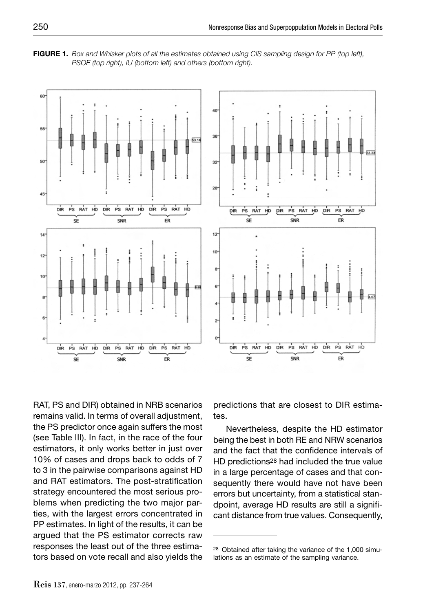**FIGURE 1.** *Box and Whisker plots of all the estimates obtained using CIS sampling design for PP (top left), PSOE (top right), IU (bottom left) and others (bottom right).*



RAT, PS and DIR) obtained in NRB scenarios remains valid. In terms of overall adjustment, the PS predictor once again suffers the most (see Table III). In fact, in the race of the four estimators, it only works better in just over 10% of cases and drops back to odds of 7 to 3 in the pairwise comparisons against HD and RAT estimators. The post-stratification strategy encountered the most serious problems when predicting the two major parties, with the largest errors concentrated in PP estimates. In light of the results, it can be argued that the PS estimator corrects raw responses the least out of the three estimators based on vote recall and also yields the predictions that are closest to DIR estimates.

Nevertheless, despite the HD estimator being the best in both RE and NRW scenarios and the fact that the confidence intervals of HD predictions28 had included the true value in a large percentage of cases and that consequently there would have not have been errors but uncertainty, from a statistical standpoint, average HD results are still a significant distance from true values. Consequently,

<sup>28</sup> Obtained after taking the variance of the 1,000 simulations as an estimate of the sampling variance.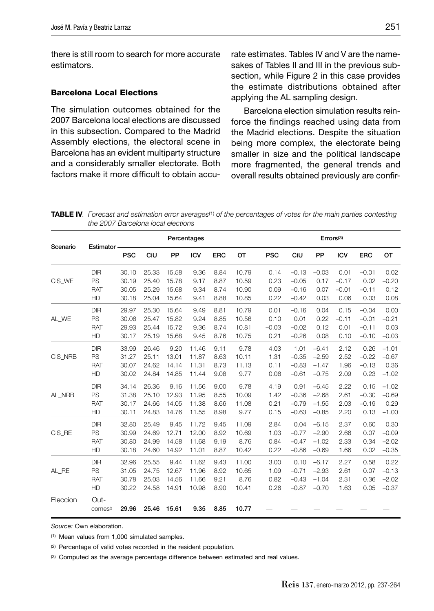there is still room to search for more accurate estimators.

#### **Barcelona Local Elections**

The simulation outcomes obtained for the 2007 Barcelona local elections are discussed in this subsection. Compared to the Madrid Assembly elections, the electoral scene in Barcelona has an evident multiparty structure and a considerably smaller electorate. Both factors make it more difficult to obtain accurate estimates. Tables IV and V are the namesakes of Tables II and III in the previous subsection, while Figure 2 in this case provides the estimate distributions obtained after applying the AL sampling design.

Barcelona election simulation results reinforce the findings reached using data from the Madrid elections. Despite the situation being more complex, the electorate being smaller in size and the political landscape more fragmented, the general trends and overall results obtained previously are confir-

**TABLE IV***. Forecast and estimation error averages*(1) *of the percentages of votes for the main parties contesting the 2007 Barcelona local elections*

|          |             |            | Percentages |       |            |            |       |            | Errors <sup>(3)</sup> |         |            |            |         |
|----------|-------------|------------|-------------|-------|------------|------------|-------|------------|-----------------------|---------|------------|------------|---------|
| Scenario | Estimator - | <b>PSC</b> | CiU         | PP    | <b>ICV</b> | <b>ERC</b> | ОT    | <b>PSC</b> | CiU                   | PP      | <b>ICV</b> | <b>ERC</b> | OT      |
|          | <b>DIR</b>  | 30.10      | 25.33       | 15.58 | 9.36       | 8.84       | 10.79 | 0.14       | $-0.13$               | $-0.03$ | 0.01       | $-0.01$    | 0.02    |
| CIS_WE   | PS          | 30.19      | 25.40       | 15.78 | 9.17       | 8.87       | 10.59 | 0.23       | $-0.05$               | 0.17    | $-0.17$    | 0.02       | $-0.20$ |
|          | <b>RAT</b>  | 30.05      | 25.29       | 15.68 | 9.34       | 8.74       | 10.90 | 0.09       | $-0.16$               | 0.07    | $-0.01$    | $-0.11$    | 0.12    |
|          | HD          | 30.18      | 25.04       | 15.64 | 9.41       | 8.88       | 10.85 | 0.22       | $-0.42$               | 0.03    | 0.06       | 0.03       | 0.08    |
|          | <b>DIR</b>  | 29.97      | 25.30       | 15.64 | 9.49       | 8.81       | 10.79 | 0.01       | $-0.16$               | 0.04    | 0.15       | $-0.04$    | 0.00    |
| AL WE    | PS          | 30.06      | 25.47       | 15.82 | 9.24       | 8.85       | 10.56 | 0.10       | 0.01                  | 0.22    | $-0.11$    | $-0.01$    | $-0.21$ |
|          | <b>RAT</b>  | 29.93      | 25.44       | 15.72 | 9.36       | 8.74       | 10.81 | $-0.03$    | $-0.02$               | 0.12    | 0.01       | $-0.11$    | 0.03    |
|          | HD          | 30.17      | 25.19       | 15.68 | 9.45       | 8.76       | 10.75 | 0.21       | $-0.26$               | 0.08    | 0.10       | $-0.10$    | $-0.03$ |
|          | <b>DIR</b>  | 33.99      | 26.46       | 9.20  | 11.46      | 9.11       | 9.78  | 4.03       | 1.01                  | $-6.41$ | 2.12       | 0.26       | $-1.01$ |
| CIS NRB  | PS          | 31.27      | 25.11       | 13.01 | 11.87      | 8.63       | 10.11 | 1.31       | $-0.35$               | $-2.59$ | 2.52       | $-0.22$    | $-0.67$ |
|          | <b>RAT</b>  | 30.07      | 24.62       | 14.14 | 11.31      | 8.73       | 11.13 | 0.11       | $-0.83$               | $-1.47$ | 1.96       | $-0.13$    | 0.36    |
|          | HD          | 30.02      | 24.84       | 14.85 | 11.44      | 9.08       | 9.77  | 0.06       | $-0.61$               | $-0.75$ | 2.09       | 0.23       | $-1.02$ |
|          | <b>DIR</b>  | 34.14      | 26.36       | 9.16  | 11.56      | 9.00       | 9.78  | 4.19       | 0.91                  | $-6.45$ | 2.22       | 0.15       | $-1.02$ |
| AL NRB   | PS          | 31.38      | 25.10       | 12.93 | 11.95      | 8.55       | 10.09 | 1.42       | $-0.36$               | $-2.68$ | 2.61       | $-0.30$    | $-0.69$ |
|          | <b>RAT</b>  | 30.17      | 24.66       | 14.05 | 11.38      | 8.66       | 11.08 | 0.21       | $-0.79$               | $-1.55$ | 2.03       | $-0.19$    | 0.29    |
|          | HD          | 30.11      | 24.83       | 14.76 | 11.55      | 8.98       | 9.77  | 0.15       | $-0.63$               | $-0.85$ | 2.20       | 0.13       | $-1.00$ |
|          | <b>DIR</b>  | 32.80      | 25.49       | 9.45  | 11.72      | 9.45       | 11.09 | 2.84       | 0.04                  | $-6.15$ | 2.37       | 0.60       | 0.30    |
| CIS_RE   | PS          | 30.99      | 24.69       | 12.71 | 12.00      | 8.92       | 10.69 | 1.03       | $-0.77$               | $-2.90$ | 2.66       | 0.07       | $-0.09$ |
|          | <b>RAT</b>  | 30.80      | 24.99       | 14.58 | 11.68      | 9.19       | 8.76  | 0.84       | $-0.47$               | $-1.02$ | 2.33       | 0.34       | $-2.02$ |
|          | HD          | 30.18      | 24.60       | 14.92 | 11.01      | 8.87       | 10.42 | 0.22       | $-0.86$               | $-0.69$ | 1.66       | 0.02       | $-0.35$ |
|          | <b>DIR</b>  | 32.96      | 25.55       | 9.44  | 11.62      | 9.43       | 11.00 | 3.00       | 0.10                  | $-6.17$ | 2.27       | 0.58       | 0.22    |
| AL_RE    | PS          | 31.05      | 24.75       | 12.67 | 11.96      | 8.92       | 10.65 | 1.09       | $-0.71$               | $-2.93$ | 2.61       | 0.07       | $-0.13$ |
|          | <b>RAT</b>  | 30.78      | 25.03       | 14.56 | 11.66      | 9.21       | 8.76  | 0.82       | $-0.43$               | $-1.04$ | 2.31       | 0.36       | $-2.02$ |
|          | HD          | 30.22      | 24.58       | 14.91 | 10.98      | 8.90       | 10.41 | 0.26       | $-0.87$               | $-0.70$ | 1.63       | 0.05       | $-0.37$ |
| Eleccion | Out-        |            |             |       |            |            |       |            |                       |         |            |            |         |
|          | comesb      | 29.96      | 25.46       | 15.61 | 9.35       | 8.85       | 10.77 |            |                       |         |            |            |         |

*Source:* Own elaboration.

(1) Mean values from 1,000 simulated samples.

(2) Percentage of valid votes recorded in the resident population.

(3) Computed as the average percentage difference between estimated and real values.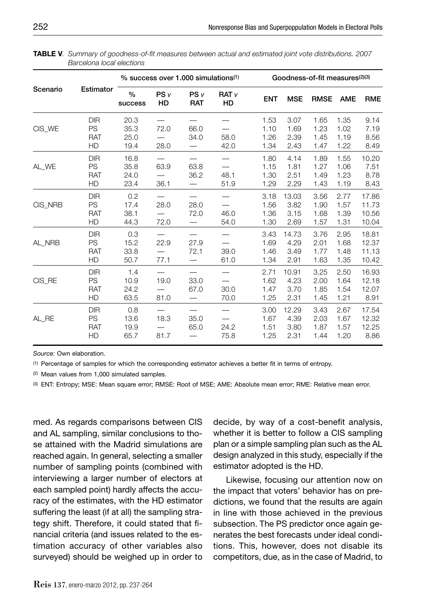|          |                                             |                              |                       | % success over 1,000 simulations <sup>(1)</sup> |                        |                              |                               | Goodness-of-fit measures(2)(3) |                              |                                  |
|----------|---------------------------------------------|------------------------------|-----------------------|-------------------------------------------------|------------------------|------------------------------|-------------------------------|--------------------------------|------------------------------|----------------------------------|
| Scenario | Estimator                                   | $\%$<br>success              | PS <sub>v</sub><br>HD | PSV<br><b>RAT</b>                               | RAT <sub>v</sub><br>HD | <b>ENT</b>                   | <b>MSE</b>                    | <b>RMSE</b>                    | <b>AME</b>                   | <b>RME</b>                       |
| CIS_WE   | <b>DIR</b><br>PS<br><b>RAT</b><br><b>HD</b> | 20.3<br>35.3<br>25.0<br>19.4 | 72.0<br>28.0          | 66.0<br>34.0                                    | 58.0<br>42.0           | 1.53<br>1.10<br>1.26<br>1.34 | 3.07<br>1.69<br>2.39<br>2.43  | 1.65<br>1.23<br>1.45<br>1.47   | 1.35<br>1.02<br>1.19<br>1.22 | 9.14<br>7.19<br>8.56<br>8.49     |
| AL_WE    | <b>DIR</b><br>PS<br>RAT<br>HD               | 16.8<br>35.8<br>24.0<br>23.4 | 63.9<br>36.1          | 63.8<br>36.2                                    | 48.1<br>51.9           | 1.80<br>1.15<br>1.30<br>1.29 | 4.14<br>1.81<br>2.51<br>2.29  | 1.89<br>1.27<br>1.49<br>1.43   | 1.55<br>1.06<br>1.23<br>1.19 | 10.20<br>7.51<br>8.78<br>8.43    |
| CIS NRB  | <b>DIR</b><br>PS<br><b>RAT</b><br>HD        | 0.2<br>17.4<br>38.1<br>44.3  | 28.0<br>72.0          | 28.0<br>72.0                                    | 46.0<br>54.0           | 3.18<br>1.56<br>1.36<br>1.30 | 13.03<br>3.82<br>3.15<br>2.69 | 3.56<br>1.90<br>1.68<br>1.57   | 2.77<br>1.57<br>1.39<br>1.31 | 17.86<br>11.73<br>10.56<br>10.04 |
| AL NRB   | <b>DIR</b><br>PS<br><b>RAT</b><br>HD        | 0.3<br>15.2<br>33.8<br>50.7  | 22.9<br>77.1          | 27.9<br>72.1                                    | 39.0<br>61.0           | 3.43<br>1.69<br>1.46<br>1.34 | 14.73<br>4.29<br>3.49<br>2.91 | 3.76<br>2.01<br>1.77<br>1.63   | 2.95<br>1.68<br>1.48<br>1.35 | 18.81<br>12.37<br>11.13<br>10.42 |
| CIS RE   | <b>DIR</b><br>PS<br><b>RAT</b><br>HD        | 1.4<br>10.9<br>24.2<br>63.5  | 19.0<br>81.0          | 33.0<br>67.0                                    | 30.0<br>70.0           | 2.71<br>1.62<br>1.47<br>1.25 | 10.91<br>4.23<br>3.70<br>2.31 | 3.25<br>2.00<br>1.85<br>1.45   | 2.50<br>1.64<br>1.54<br>1.21 | 16.93<br>12.18<br>12.07<br>8.91  |
| AL RE    | <b>DIR</b><br>PS<br><b>RAT</b><br>HD        | 0.8<br>13.6<br>19.9<br>65.7  | 18.3<br>81.7          | 35.0<br>65.0                                    | 24.2<br>75.8           | 3.00<br>1.67<br>1.51<br>1.25 | 12.29<br>4.39<br>3.80<br>2.31 | 3.43<br>2.03<br>1.87<br>1.44   | 2.67<br>1.67<br>1.57<br>1.20 | 17.54<br>12.32<br>12.25<br>8.86  |

**TABLE V***. Summary of goodness-of-fi t measures between actual and estimated joint vote distributions. 2007 Barcelona local elections*

(1) Percentage of samples for which the corresponding estimator achieves a better fi t in terms of entropy.

(2) Mean values from 1,000 simulated samples.

(3) ENT: Entropy; MSE: Mean square error; RMSE: Root of MSE; AME: Absolute mean error; RME: Relative mean error.

med. As regards comparisons between CIS and AL sampling, similar conclusions to those attained with the Madrid simulations are reached again. In general, selecting a smaller number of sampling points (combined with interviewing a larger number of electors at each sampled point) hardly affects the accuracy of the estimates, with the HD estimator suffering the least (if at all) the sampling strategy shift. Therefore, it could stated that financial criteria (and issues related to the estimation accuracy of other variables also surveyed) should be weighed up in order to decide, by way of a cost-benefit analysis, whether it is better to follow a CIS sampling plan or a simple sampling plan such as the AL design analyzed in this study, especially if the estimator adopted is the HD.

Likewise, focusing our attention now on the impact that voters' behavior has on predictions, we found that the results are again in line with those achieved in the previous subsection. The PS predictor once again generates the best forecasts under ideal conditions. This, however, does not disable its competitors, due, as in the case of Madrid, to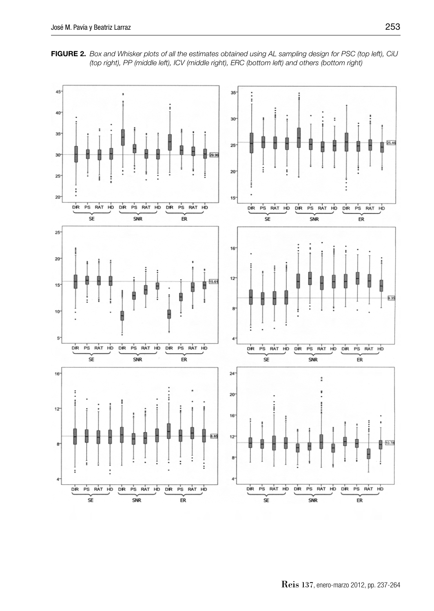

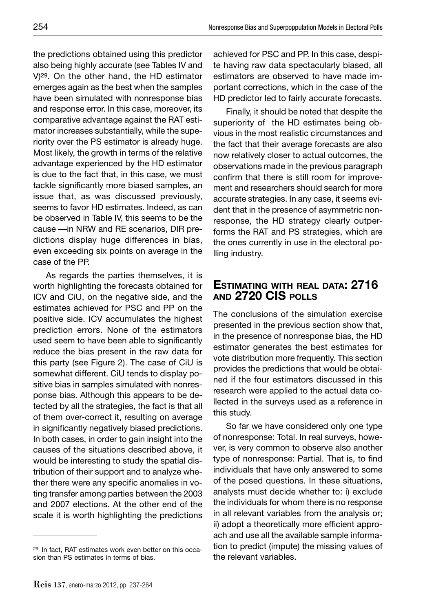the predictions obtained using this predictor also being highly accurate (see Tables IV and V)29. On the other hand, the HD estimator emerges again as the best when the samples

have been simulated with nonresponse bias and response error. In this case, moreover, its comparative advantage against the RAT estimator increases substantially, while the superiority over the PS estimator is already huge. Most likely, the growth in terms of the relative advantage experienced by the HD estimator is due to the fact that, in this case, we must tackle significantly more biased samples, an issue that, as was discussed previously, seems to favor HD estimates. Indeed, as can be observed in Table IV, this seems to be the cause —in NRW and RE scenarios, DIR predictions display huge differences in bias, even exceeding six points on average in the case of the PP.

As regards the parties themselves, it is worth highlighting the forecasts obtained for ICV and CiU, on the negative side, and the estimates achieved for PSC and PP on the positive side. ICV accumulates the highest prediction errors. None of the estimators used seem to have been able to significantly reduce the bias present in the raw data for this party (see Figure 2). The case of CiU is somewhat different. CiU tends to display positive bias in samples simulated with nonresponse bias. Although this appears to be detected by all the strategies, the fact is that all of them over-correct it, resulting on average in significantly negatively biased predictions. In both cases, in order to gain insight into the causes of the situations described above, it would be interesting to study the spatial distribution of their support and to analyze whether there were any specific anomalies in voting transfer among parties between the 2003 and 2007 elections. At the other end of the scale it is worth highlighting the predictions

achieved for PSC and PP. In this case, despite having raw data spectacularly biased, all estimators are observed to have made important corrections, which in the case of the HD predictor led to fairly accurate forecasts.

Finally, it should be noted that despite the superiority of the HD estimates being obvious in the most realistic circumstances and the fact that their average forecasts are also now relatively closer to actual outcomes, the observations made in the previous paragraph confirm that there is still room for improvement and researchers should search for more accurate strategies. In any case, it seems evident that in the presence of asymmetric nonresponse, the HD strategy clearly outperforms the RAT and PS strategies, which are the ones currently in use in the electoral polling industry.

## **ESTIMATING WITH REAL DATA: 2716 AND 2720 CIS POLLS**

The conclusions of the simulation exercise presented in the previous section show that, in the presence of nonresponse bias, the HD estimator generates the best estimates for vote distribution more frequently. This section provides the predictions that would be obtained if the four estimators discussed in this research were applied to the actual data collected in the surveys used as a reference in this study.

So far we have considered only one type of nonresponse: Total. In real surveys, however, is very common to observe also another type of nonresponse: Partial. That is, to find individuals that have only answered to some of the posed questions. In these situations, analysts must decide whether to: i) exclude the individuals for whom there is no response in all relevant variables from the analysis or; ii) adopt a theoretically more efficient approach and use all the available sample information to predict (impute) the missing values of the relevant variables.

<sup>29</sup> In fact, RAT estimates work even better on this occasion than PS estimates in terms of bias.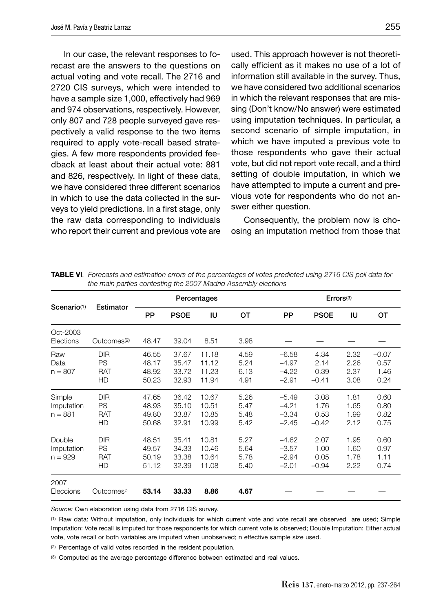In our case, the relevant responses to forecast are the answers to the questions on actual voting and vote recall. The 2716 and 2720 CIS surveys, which were intended to have a sample size 1,000, effectively had 969 and 974 observations, respectively. However, only 807 and 728 people surveyed gave respectively a valid response to the two items required to apply vote-recall based strategies. A few more respondents provided feedback at least about their actual vote: 881 and 826, respectively. In light of these data, we have considered three different scenarios in which to use the data collected in the surveys to yield predictions. In a first stage, only the raw data corresponding to individuals who report their current and previous vote are used. This approach however is not theoretically efficient as it makes no use of a lot of information still available in the survey. Thus, we have considered two additional scenarios in which the relevant responses that are missing (Don't know/No answer) were estimated using imputation techniques. In particular, a second scenario of simple imputation, in which we have imputed a previous vote to those respondents who gave their actual vote, but did not report vote recall, and a third setting of double imputation, in which we have attempted to impute a current and previous vote for respondents who do not answer either question.

Consequently, the problem now is choosing an imputation method from those that

|                                   | Estimator                                   |                                  |                                  | Percentages                      |                              |                                          | Errors <sup>(3)</sup>           |                              |                                 |
|-----------------------------------|---------------------------------------------|----------------------------------|----------------------------------|----------------------------------|------------------------------|------------------------------------------|---------------------------------|------------------------------|---------------------------------|
| Scenario <sup>(1)</sup>           |                                             | PP                               | <b>PSOE</b>                      | IU                               | OT                           | PP                                       | <b>PSOE</b>                     | IU                           | OТ                              |
| Oct-2003<br>Elections             | Outcomes <sup>(2)</sup>                     | 48.47                            | 39.04                            | 8.51                             | 3.98                         |                                          |                                 |                              |                                 |
| Raw<br>Data<br>$n = 807$          | <b>DIR</b><br>PS<br><b>RAT</b><br>HD        | 46.55<br>48.17<br>48.92<br>50.23 | 37.67<br>35.47<br>33.72<br>32.93 | 11.18<br>11.12<br>11.23<br>11.94 | 4.59<br>5.24<br>6.13<br>4.91 | $-6.58$<br>$-4.97$<br>$-4.22$<br>$-2.91$ | 4.34<br>2.14<br>0.39<br>$-0.41$ | 2.32<br>2.26<br>2.37<br>3.08 | $-0.07$<br>0.57<br>1.46<br>0.24 |
| Simple<br>Imputation<br>$n = 881$ | <b>DIR</b><br>PS<br><b>RAT</b><br>HD        | 47.65<br>48.93<br>49.80<br>50.68 | 36.42<br>35.10<br>33.87<br>32.91 | 10.67<br>10.51<br>10.85<br>10.99 | 5.26<br>5.47<br>5.48<br>5.42 | $-5.49$<br>$-4.21$<br>$-3.34$<br>$-2.45$ | 3.08<br>1.76<br>0.53<br>$-0.42$ | 1.81<br>1.65<br>1.99<br>2.12 | 0.60<br>0.80<br>0.82<br>0.75    |
| Double<br>Imputation<br>$n = 929$ | <b>DIR</b><br><b>PS</b><br><b>RAT</b><br>HD | 48.51<br>49.57<br>50.19<br>51.12 | 35.41<br>34.33<br>33.38<br>32.39 | 10.81<br>10.46<br>10.64<br>11.08 | 5.27<br>5.64<br>5.78<br>5.40 | $-4.62$<br>$-3.57$<br>$-2.94$<br>$-2.01$ | 2.07<br>1.00<br>0.05<br>$-0.94$ | 1.95<br>1.60<br>1.78<br>2.22 | 0.60<br>0.97<br>1.11<br>0.74    |
| 2007<br>Eleccions                 | Outcomesb                                   | 53.14                            | 33.33                            | 8.86                             | 4.67                         |                                          |                                 |                              |                                 |

**TABLE VI***. Forecasts and estimation errors of the percentages of votes predicted using 2716 CIS poll data for the main parties contesting the 2007 Madrid Assembly elections*

*Source:* Own elaboration using data from 2716 CIS survey.

(1) Raw data: Without imputation, only individuals for which current vote and vote recall are observed are used; Simple Imputation: Vote recall is imputed for those respondents for which current vote is observed; Double Imputation: Either actual vote, vote recall or both variables are imputed when unobserved; n effective sample size used.

(2) Percentage of valid votes recorded in the resident population.

(3) Computed as the average percentage difference between estimated and real values.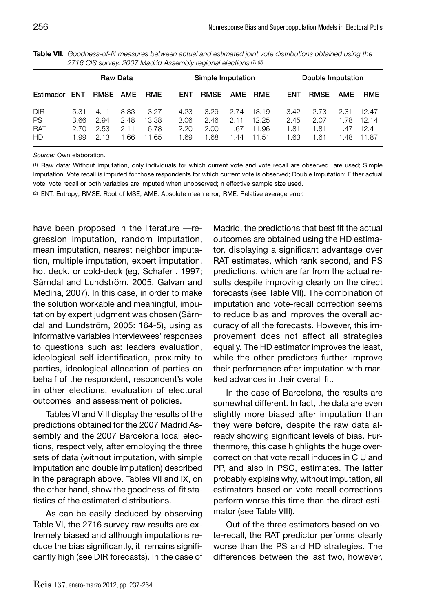| Raw Data                      |                              |                              |                              |                                  |                              | Simple Imputation            |                            |                                  | Double Imputation            |                              |                              |                                  |
|-------------------------------|------------------------------|------------------------------|------------------------------|----------------------------------|------------------------------|------------------------------|----------------------------|----------------------------------|------------------------------|------------------------------|------------------------------|----------------------------------|
| Estimador                     | ENT                          | RMSE AME                     |                              | <b>RME</b>                       | <b>ENT</b>                   | <b>RMSE</b>                  | AME                        | <b>RME</b>                       | <b>ENT</b>                   | <b>RMSE</b>                  | AME                          | <b>RME</b>                       |
| DIR<br><b>PS</b><br>RAT<br>HD | 5.31<br>3.66<br>2.70<br>1.99 | 4.11<br>2.94<br>2.53<br>2.13 | 3.33<br>2.48<br>2.11<br>1.66 | 13.27<br>13.38<br>16.78<br>11.65 | 4.23<br>3.06<br>2.20<br>1.69 | 3.29<br>2.46<br>2.00<br>1.68 | 2.74<br>2.11<br>.67<br>.44 | 13.19<br>12.25<br>11.96<br>11.51 | 3.42<br>2.45<br>1.81<br>1.63 | 2.73<br>2.07<br>1.81<br>1.61 | 2.31<br>1.78<br>1.47<br>1.48 | 12.47<br>12.14<br>12.41<br>11.87 |

**Table VII***. Goodness-of-fi t measures between actual and estimated joint vote distributions obtained using the 2716 CIS survey. 2007 Madrid Assembly regional elections (1),(2)*

(1) Raw data: Without imputation, only individuals for which current vote and vote recall are observed are used; Simple Imputation: Vote recall is imputed for those respondents for which current vote is observed; Double Imputation: Either actual vote, vote recall or both variables are imputed when unobserved; n effective sample size used.

(2) ENT: Entropy; RMSE: Root of MSE; AME: Absolute mean error; RME: Relative average error.

have been proposed in the literature —regression imputation, random imputation, mean imputation, nearest neighbor imputation, multiple imputation, expert imputation, hot deck, or cold-deck (eg, Schafer , 1997; Särndal and Lundström, 2005, Galvan and Medina, 2007). In this case, in order to make the solution workable and meaningful, imputation by expert judgment was chosen (Särndal and Lundström, 2005: 164-5), using as informative variables interviewees' responses to questions such as: leaders evaluation, ideological self-identification, proximity to parties, ideological allocation of parties on behalf of the respondent, respondent's vote in other elections, evaluation of electoral outcomes and assessment of policies.

Tables VI and VIII display the results of the predictions obtained for the 2007 Madrid Assembly and the 2007 Barcelona local elections, respectively, after employing the three sets of data (without imputation, with simple imputation and double imputation) described in the paragraph above. Tables VII and IX, on the other hand, show the goodness-of-fit statistics of the estimated distributions.

As can be easily deduced by observing Table VI, the 2716 survey raw results are extremely biased and although imputations reduce the bias significantly, it remains significantly high (see DIR forecasts). In the case of Madrid, the predictions that best fit the actual outcomes are obtained using the HD estimator, displaying a significant advantage over RAT estimates, which rank second, and PS predictions, which are far from the actual results despite improving clearly on the direct forecasts (see Table VII). The combination of imputation and vote-recall correction seems to reduce bias and improves the overall accuracy of all the forecasts. However, this improvement does not affect all strategies equally. The HD estimator improves the least, while the other predictors further improve their performance after imputation with marked advances in their overall fit.

In the case of Barcelona, the results are somewhat different. In fact, the data are even slightly more biased after imputation than they were before, despite the raw data already showing significant levels of bias. Furthermore, this case highlights the huge overcorrection that vote recall induces in CiU and PP, and also in PSC, estimates. The latter probably explains why, without imputation, all estimators based on vote-recall corrections perform worse this time than the direct estimator (see Table VIII).

Out of the three estimators based on vote-recall, the RAT predictor performs clearly worse than the PS and HD strategies. The differences between the last two, however,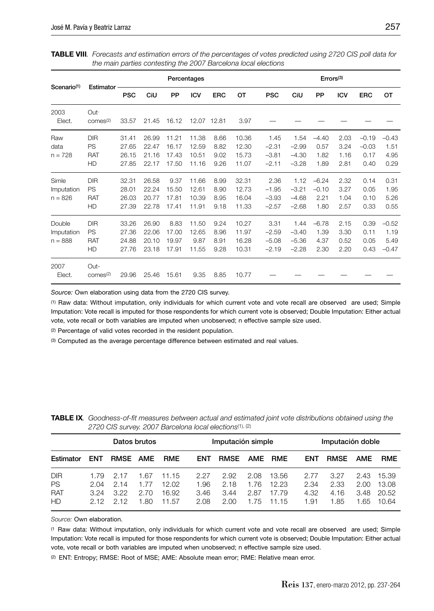|                                   |                                             |                                  |                                  |                                  | Percentages                      |                              |                                  |                                       |                                       | Errors <sup>(3)</sup>              |                              |                                    |                                    |
|-----------------------------------|---------------------------------------------|----------------------------------|----------------------------------|----------------------------------|----------------------------------|------------------------------|----------------------------------|---------------------------------------|---------------------------------------|------------------------------------|------------------------------|------------------------------------|------------------------------------|
| Scenario <sup>(1)</sup>           | Estimator                                   | <b>PSC</b>                       | CiU                              | PP                               | <b>ICV</b>                       | <b>ERC</b>                   | OT                               | <b>PSC</b>                            | CiU                                   | PP                                 | <b>ICV</b>                   | <b>ERC</b>                         | OT                                 |
| 2003<br>Elect.                    | Out-<br>comes <sup>(2)</sup>                | 33.57                            | 21.45                            | 16.12                            | 12.07 12.81                      |                              | 3.97                             |                                       |                                       |                                    |                              |                                    |                                    |
| Raw<br>data<br>$n = 728$          | <b>DIR</b><br><b>PS</b><br><b>RAT</b><br>HD | 31.41<br>27.65<br>26.15<br>27.85 | 26.99<br>22.47<br>21.16<br>22.17 | 11.21<br>16.17<br>17.43<br>17.50 | 11.38<br>12.59<br>10.51<br>11.16 | 8.66<br>8.82<br>9.02<br>9.26 | 10.36<br>12.30<br>15.73<br>11.07 | 1.45<br>$-2.31$<br>$-3.81$<br>$-2.11$ | 1.54<br>$-2.99$<br>$-4.30$<br>$-3.28$ | $-4.40$<br>0.57<br>1.82<br>1.89    | 2.03<br>3.24<br>1.16<br>2.81 | $-0.19$<br>$-0.03$<br>0.17<br>0.40 | $-0.43$<br>1.51<br>4.95<br>0.29    |
| Simle<br>Imputation<br>$n = 826$  | <b>DIR</b><br><b>PS</b><br><b>RAT</b><br>HD | 32.31<br>28.01<br>26.03<br>27.39 | 26.58<br>22.24<br>20.77<br>22.78 | 9.37<br>15.50<br>17.81<br>17.41  | 11.66<br>12.61<br>10.39<br>11.91 | 8.99<br>8.90<br>8.95<br>9.18 | 32.31<br>12.73<br>16.04<br>11.33 | 2.36<br>$-1.95$<br>$-3.93$<br>$-2.57$ | 1.12<br>$-3.21$<br>$-4.68$<br>$-2.68$ | $-6.24$<br>$-0.10$<br>2.21<br>1.80 | 2.32<br>3.27<br>1.04<br>2.57 | 0.14<br>0.05<br>0.10<br>0.33       | 0.31<br>1.95<br>5.26<br>0.55       |
| Double<br>Imputation<br>$n = 888$ | <b>DIR</b><br>PS<br><b>RAT</b><br>HD        | 33.26<br>27.36<br>24.88<br>27.76 | 26.90<br>22.06<br>20.10<br>23.18 | 8.83<br>17.00<br>19.97<br>17.91  | 11.50<br>12.65<br>9.87<br>11.55  | 9.24<br>8.96<br>8.91<br>9.28 | 10.27<br>11.97<br>16.28<br>10.31 | 3.31<br>$-2.59$<br>$-5.08$<br>$-2.19$ | 1.44<br>$-3.40$<br>$-5.36$<br>$-2.28$ | $-6.78$<br>1.39<br>4.37<br>2.30    | 2.15<br>3.30<br>0.52<br>2.20 | 0.39<br>0.11<br>0.05<br>0.43       | $-0.52$<br>1.19<br>5.49<br>$-0.47$ |
| 2007<br>Elect.                    | Out-<br>comes <sup>(2)</sup>                | 29.96                            | 25.46                            | 15.61                            | 9.35                             | 8.85                         | 10.77                            |                                       |                                       |                                    |                              |                                    |                                    |

**TABLE VIII***. Forecasts and estimation errors of the percentages of votes predicted using 2720 CIS poll data for the main parties contesting the 2007 Barcelona local elections*

*Source:* Own elaboration using data from the 2720 CIS survey.

(1) Raw data: Without imputation, only individuals for which current vote and vote recall are observed are used; Simple Imputation: Vote recall is imputed for those respondents for which current vote is observed; Double Imputation: Either actual vote, vote recall or both variables are imputed when unobserved; n effective sample size used.

(2) Percentage of valid votes recorded in the resident population.

(3) Computed as the average percentage difference between estimated and real values.

| Datos brutos                                       |                              |                             |                              |                                  |                              | Imputación simple            |                              |                                  | Imputación doble             |                              |                              |                                  |
|----------------------------------------------------|------------------------------|-----------------------------|------------------------------|----------------------------------|------------------------------|------------------------------|------------------------------|----------------------------------|------------------------------|------------------------------|------------------------------|----------------------------------|
| Estimator                                          | <b>ENT</b>                   | <b>RMSE</b>                 | <b>AME</b>                   | <b>RME</b>                       | <b>ENT</b>                   | <b>RMSE</b>                  |                              | AME RME                          | <b>ENT</b>                   | <b>RMSE</b>                  | <b>AME</b>                   | <b>RME</b>                       |
| <b>DIR</b><br><b>PS</b><br><b>RAT</b><br><b>HD</b> | 1.79<br>2.04<br>3.24<br>2.12 | 2.17<br>2.14<br>3.22<br>212 | 1.67<br>1.77<br>2.70<br>1.80 | 11.15<br>12.02<br>16.92<br>11.57 | 2.27<br>1.96<br>3.46<br>2.08 | 2.92<br>2.18<br>3.44<br>2.00 | 2.08<br>1.76<br>2.87<br>1.75 | 13.56<br>12.23<br>17.79<br>11.15 | 2.77<br>2.34<br>4.32<br>1.91 | 3.27<br>2.33<br>4.16<br>1.85 | 2.43<br>2.00<br>3.48<br>1.65 | 15.39<br>13.08<br>20.52<br>10.64 |

**TABLE IX***. Goodness-of-fi t measures between actual and estimated joint vote distributions obtained using the 2720 CIS survey. 2007 Barcelona local elections*(1), (2)

*Source:* Own elaboration.

(1 Raw data: Without imputation, only individuals for which current vote and vote recall are observed are used; Simple Imputation: Vote recall is imputed for those respondents for which current vote is observed; Double Imputation: Either actual vote, vote recall or both variables are imputed when unobserved; n effective sample size used.

(2) ENT: Entropy; RMSE: Root of MSE; AME: Absolute mean error; RME: Relative mean error.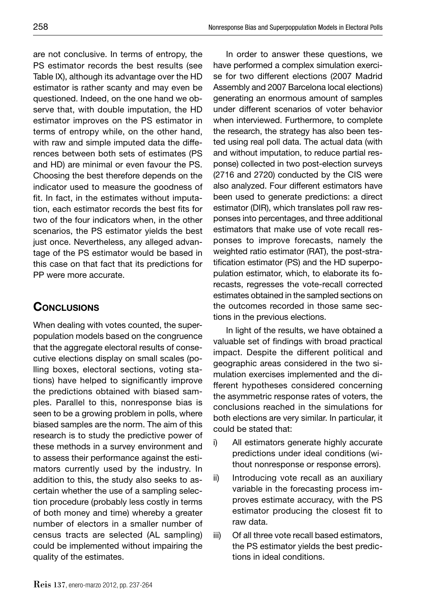are not conclusive. In terms of entropy, the PS estimator records the best results (see Table IX), although its advantage over the HD estimator is rather scanty and may even be questioned. Indeed, on the one hand we observe that, with double imputation, the HD estimator improves on the PS estimator in terms of entropy while, on the other hand, with raw and simple imputed data the differences between both sets of estimates (PS and HD) are minimal or even favour the PS. Choosing the best therefore depends on the indicator used to measure the goodness of fit. In fact, in the estimates without imputation, each estimator records the best fits for two of the four indicators when, in the other scenarios, the PS estimator yields the best just once. Nevertheless, any alleged advantage of the PS estimator would be based in this case on that fact that its predictions for PP were more accurate.

# **CONCLUSIONS**

When dealing with votes counted, the superpopulation models based on the congruence that the aggregate electoral results of consecutive elections display on small scales (polling boxes, electoral sections, voting stations) have helped to significantly improve the predictions obtained with biased samples. Parallel to this, nonresponse bias is seen to be a growing problem in polls, where biased samples are the norm. The aim of this research is to study the predictive power of these methods in a survey environment and to assess their performance against the estimators currently used by the industry. In addition to this, the study also seeks to ascertain whether the use of a sampling selection procedure (probably less costly in terms of both money and time) whereby a greater number of electors in a smaller number of census tracts are selected (AL sampling) could be implemented without impairing the quality of the estimates.

In order to answer these questions, we have performed a complex simulation exercise for two different elections (2007 Madrid Assembly and 2007 Barcelona local elections) generating an enormous amount of samples under different scenarios of voter behavior when interviewed. Furthermore, to complete the research, the strategy has also been tested using real poll data. The actual data (with and without imputation, to reduce partial response) collected in two post-election surveys (2716 and 2720) conducted by the CIS were also analyzed. Four different estimators have been used to generate predictions: a direct estimator (DIR), which translates poll raw responses into percentages, and three additional estimators that make use of vote recall responses to improve forecasts, namely the weighted ratio estimator (RAT), the post-stratification estimator (PS) and the HD superpopulation estimator, which, to elaborate its forecasts, regresses the vote-recall corrected estimates obtained in the sampled sections on the outcomes recorded in those same sections in the previous elections.

In light of the results, we have obtained a valuable set of findings with broad practical impact. Despite the different political and geographic areas considered in the two simulation exercises implemented and the different hypotheses considered concerning the asymmetric response rates of voters, the conclusions reached in the simulations for both elections are very similar. In particular, it could be stated that:

- i) All estimators generate highly accurate predictions under ideal conditions (without nonresponse or response errors).
- ii) Introducing vote recall as an auxiliary variable in the forecasting process improves estimate accuracy, with the PS estimator producing the closest fit to raw data.
- iii) Of all three vote recall based estimators, the PS estimator yields the best predictions in ideal conditions.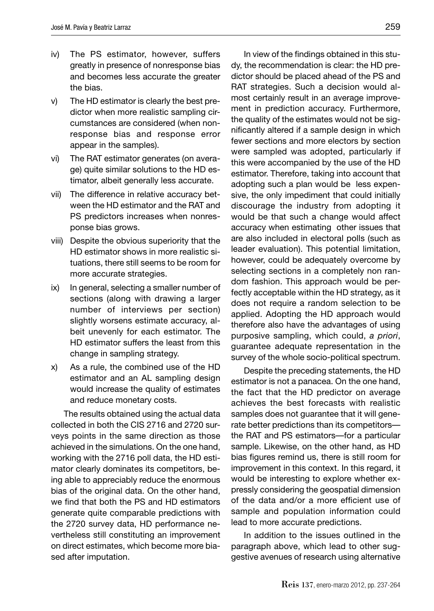- iv) The PS estimator, however, suffers greatly in presence of nonresponse bias and becomes less accurate the greater the bias.
- v) The HD estimator is clearly the best predictor when more realistic sampling circumstances are considered (when nonresponse bias and response error appear in the samples).
- vi) The RAT estimator generates (on average) quite similar solutions to the HD estimator, albeit generally less accurate.
- vii) The difference in relative accuracy between the HD estimator and the RAT and PS predictors increases when nonresponse bias grows.
- viii) Despite the obvious superiority that the HD estimator shows in more realistic situations, there still seems to be room for more accurate strategies.
- ix) In general, selecting a smaller number of sections (along with drawing a larger number of interviews per section) slightly worsens estimate accuracy, albeit unevenly for each estimator. The HD estimator suffers the least from this change in sampling strategy.
- x) As a rule, the combined use of the HD estimator and an AL sampling design would increase the quality of estimates and reduce monetary costs.

The results obtained using the actual data collected in both the CIS 2716 and 2720 surveys points in the same direction as those achieved in the simulations. On the one hand, working with the 2716 poll data, the HD estimator clearly dominates its competitors, being able to appreciably reduce the enormous bias of the original data. On the other hand, we find that both the PS and HD estimators generate quite comparable predictions with the 2720 survey data, HD performance nevertheless still constituting an improvement on direct estimates, which become more biased after imputation.

In view of the findings obtained in this study, the recommendation is clear: the HD predictor should be placed ahead of the PS and RAT strategies. Such a decision would almost certainly result in an average improvement in prediction accuracy. Furthermore, the quality of the estimates would not be significantly altered if a sample design in which fewer sections and more electors by section were sampled was adopted, particularly if this were accompanied by the use of the HD estimator. Therefore, taking into account that adopting such a plan would be less expensive, the only impediment that could initially discourage the industry from adopting it would be that such a change would affect accuracy when estimating other issues that are also included in electoral polls (such as leader evaluation). This potential limitation, however, could be adequately overcome by selecting sections in a completely non random fashion. This approach would be perfectly acceptable within the HD strategy, as it does not require a random selection to be applied. Adopting the HD approach would therefore also have the advantages of using purposive sampling, which could, *a priori*, guarantee adequate representation in the survey of the whole socio-political spectrum.

Despite the preceding statements, the HD estimator is not a panacea. On the one hand, the fact that the HD predictor on average achieves the best forecasts with realistic samples does not guarantee that it will generate better predictions than its competitors the RAT and PS estimators—for a particular sample. Likewise, on the other hand, as HD bias figures remind us, there is still room for improvement in this context. In this regard, it would be interesting to explore whether expressly considering the geospatial dimension of the data and/or a more efficient use of sample and population information could lead to more accurate predictions.

In addition to the issues outlined in the paragraph above, which lead to other suggestive avenues of research using alternative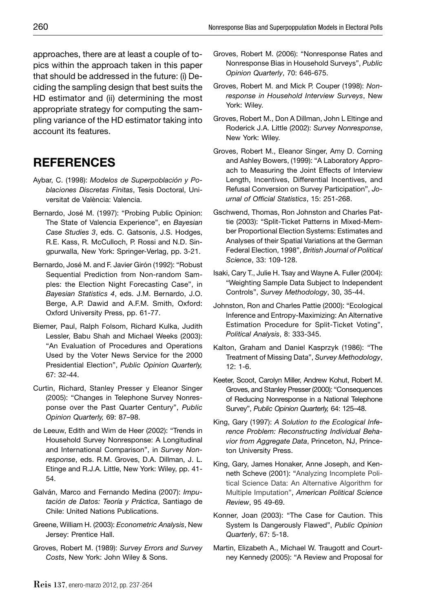approaches, there are at least a couple of topics within the approach taken in this paper that should be addressed in the future: (i) Deciding the sampling design that best suits the HD estimator and (ii) determining the most appropriate strategy for computing the sampling variance of the HD estimator taking into account its features.

# **REFERENCES**

- Aybar, C. (1998): *Modelos de Superpoblación y Poblaciones Discretas Finitas*, Tesis Doctoral, Universitat de València: Valencia.
- Bernardo, José M. (1997): "Probing Public Opinion: The State of Valencia Experience", en *Bayesian Case Studies 3*, eds. C. Gatsonis, J.S. Hodges, R.E. Kass, R. McCulloch, P. Rossi and N.D. Singpurwalla, New York: Springer-Verlag, pp. 3-21.
- Bernardo, José M. and F. Javier Girón (1992): "Robust Sequential Prediction from Non-random Samples: the Election Night Forecasting Case", in *Bayesian Statistics 4*, eds. J.M. Bernardo, J.O. Berge, A.P. Dawid and A.F.M. Smith, Oxford: Oxford University Press, pp. 61-77.
- Biemer, Paul, Ralph Folsom, Richard Kulka, Judith Lessler, Babu Shah and Michael Weeks (2003): "An Evaluation of Procedures and Operations Used by the Voter News Service for the 2000 Presidential Election", *Public Opinion Quarterly,* 67: 32-44.
- Curtin, Richard, Stanley Presser y Eleanor Singer (2005): "Changes in Telephone Survey Nonresponse over the Past Quarter Century", *Public Opinion Quarterly,* 69: 87–98.
- de Leeuw, Edith and Wim de Heer (2002): "Trends in Household Survey Nonresponse: A Longitudinal and International Comparison", in *Survey Nonresponse*, eds. R.M. Groves, D.A. Dillman, J. L. Etinge and R.J.A. Little, New York: Wiley, pp. 41- 54.
- Galván, Marco and Fernando Medina (2007): *Imputación de Datos: Teoría y Práctica*, Santiago de Chile: United Nations Publications.
- Greene, William H. (2003): *Econometric Analysis*, New Jersey: Prentice Hall.
- Groves, Robert M. (1989): *Survey Errors and Survey Costs*, New York: John Wiley & Sons.
- Groves, Robert M. (2006): "Nonresponse Rates and Nonresponse Bias in Household Surveys", *Public Opinion Quarterly*, 70: 646-675.
- Groves, Robert M. and Mick P. Couper (1998): *Nonresponse in Household Interview Surveys*, New York: Wiley.
- Groves, Robert M., Don A Dillman, John L Eltinge and Roderick J.A. Little (2002): *Survey Nonresponse*, New York: Wiley.
- Groves, Robert M., Eleanor Singer, Amy D. Corning and Ashley Bowers, (1999): "A Laboratory Approach to Measuring the Joint Effects of Interview Length, Incentives, Differential Incentives, and Refusal Conversion on Survey Participation", *Jo*urnal of Official Statistics, 15: 251-268.
- Gschwend, Thomas, Ron Johnston and Charles Pattie (2003): "Split-Ticket Patterns in Mixed-Member Proportional Election Systems: Estimates and Analyses of their Spatial Variations at the German Federal Election, 1998", *British Journal of Political Science*, 33: 109-128.
- Isaki, Cary T., Julie H. Tsay and Wayne A. Fuller (2004): "Weighting Sample Data Subject to Independent Controls", *Survey Methodology*, 30, 35-44.
- Johnston, Ron and Charles Pattie (2000): "Ecological Inference and Entropy-Maximizing: An Alternative Estimation Procedure for Split-Ticket Voting", *Political Analysis*, 8: 333-345.
- Kalton, Graham and Daniel Kasprzyk (1986): "The Treatment of Missing Data", *Survey Methodology*, 12: 1-6.
- Keeter, Scoot, Carolyn Miller, Andrew Kohut, Robert M. Groves, and Stanley Presser (2000): "Consequences of Reducing Nonresponse in a National Telephone Survey", *Public Opinion Quarterly,* 64: 125–48.
- King, Gary (1997): *A Solution to the Ecological Inference Problem: Reconstructing Individual Behavior from Aggregate Data*, Princeton, NJ, Princeton University Press.
- King, Gary, James Honaker, Anne Joseph, and Kenneth Scheve (2001): "Analyzing Incomplete Political Science Data: An Alternative Algorithm for Multiple Imputation", *American Political Science Review*, 95 49-69.
- Konner, Joan (2003): "The Case for Caution. This System Is Dangerously Flawed", *Public Opinion Quarterly*, 67: 5-18.
- Martin, Elizabeth A., Michael W. Traugott and Courtney Kennedy (2005): "A Review and Proposal for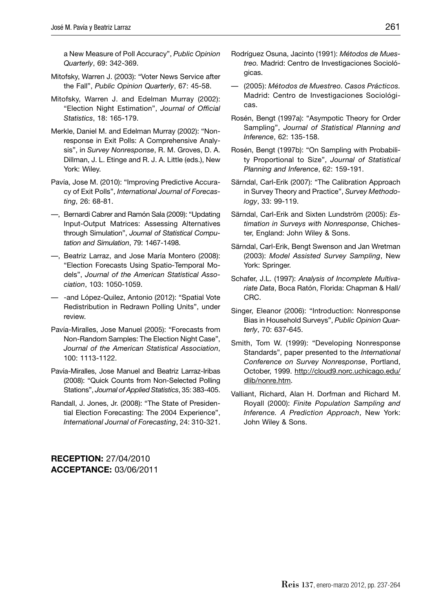a New Measure of Poll Accuracy", *Public Opinion Quarterly*, 69: 342-369.

- Mitofsky, Warren J. (2003): "Voter News Service after the Fall", *Public Opinion Quarterly*, 67: 45-58.
- Mitofsky, Warren J. and Edelman Murray (2002): "Election Night Estimation", Journal of Official *Statistics*, 18: 165-179.
- Merkle, Daniel M. and Edelman Murray (2002): "Nonresponse in Exit Polls: A Comprehensive Analysis", in *Survey Nonresponse*, R. M. Groves, D. A. Dillman, J. L. Etinge and R. J. A. Little (eds.), New York: Wiley.
- Pavía, Jose M. (2010): "Improving Predictive Accuracy of Exit Polls", *International Journal of Forecasting*, 26: 68-81.
- —, Bernardi Cabrer and Ramón Sala (2009): "Updating Input-Output Matrices: Assessing Alternatives through Simulation", *Journal of Statistical Computation and Simulation*, 79: 1467-1498.
- —, Beatriz Larraz, and Jose María Montero (2008): "Election Forecasts Using Spatio-Temporal Models", *Journal of the American Statistical Association*, 103: 1050-1059.
- -and López-Quilez, Antonio (2012): "Spatial Vote Redistribution in Redrawn Polling Units", under review.
- Pavía-Miralles, Jose Manuel (2005): "Forecasts from Non-Random Samples: The Election Night Case", *Journal of the American Statistical Association*, 100: 1113-1122.
- Pavía-Miralles, Jose Manuel and Beatriz Larraz-Iribas (2008): "Quick Counts from Non-Selected Polling Stations", *Journal of Applied Statistics*, 35: 383-405.
- Randall, J. Jones, Jr. (2008): "The State of Presidential Election Forecasting: The 2004 Experience", *International Journal of Forecasting*, 24: 310-321.

**RECEPTION:** 27/04/2010 **ACCEPTANCE:** 03/06/2011

- Rodríguez Osuna, Jacinto (1991): *Métodos de Muestreo.* Madrid: Centro de Investigaciones Sociológicas.
- (2005): *Métodos de Muestreo. Casos Prácticos.*  Madrid: Centro de Investigaciones Sociológicas.
- Rosén, Bengt (1997a): "Asympotic Theory for Order Sampling", *Journal of Statistical Planning and Inference*, 62: 135-158.
- Rosén, Bengt (1997b): "On Sampling with Probability Proportional to Size", *Journal of Statistical Planning and Inference*, 62: 159-191.
- Särndal, Carl-Erik (2007): "The Calibration Approach in Survey Theory and Practice", *Survey Methodology*, 33: 99-119.
- Särndal, Carl-Erik and Sixten Lundström (2005): *Estimation in Surveys with Nonresponse*, Chichester, England: John Wiley & Sons.
- Särndal, Carl-Erik, Bengt Swenson and Jan Wretman (2003): *Model Assisted Survey Sampling*, New York: Springer.
- Schafer, J.L. (1997): *Analysis of Incomplete Multivariate Data*, Boca Ratón, Florida: Chapman & Hall/ CRC.
- Singer, Eleanor (2006): "Introduction: Nonresponse Bias in Household Surveys", *Public Opinion Quarterly*, 70: 637-645.
- Smith, Tom W. (1999): "Developing Nonresponse Standards", paper presented to the *International Conference on Survey Nonresponse*, Portland, October, 1999. http://cloud9.norc.uchicago.edu/ dlib/nonre.htm.
- Valliant, Richard, Alan H. Dorfman and Richard M. Royall (2000): *Finite Population Sampling and Inference. A Prediction Approach*, New York: John Wiley & Sons.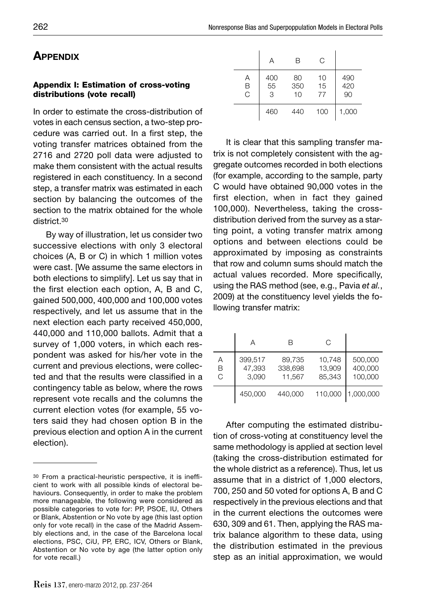# **APPENDIX**

#### **Appendix I: Estimation of cross-voting distributions (vote recall)**

In order to estimate the cross-distribution of votes in each census section, a two-step procedure was carried out. In a first step, the voting transfer matrices obtained from the 2716 and 2720 poll data were adjusted to make them consistent with the actual results registered in each constituency. In a second step, a transfer matrix was estimated in each section by balancing the outcomes of the section to the matrix obtained for the whole district.30

By way of illustration, let us consider two successive elections with only 3 electoral choices (A, B or C) in which 1 million votes were cast. [We assume the same electors in both elections to simplify]. Let us say that in the first election each option, A, B and C, gained 500,000, 400,000 and 100,000 votes respectively, and let us assume that in the next election each party received 450,000, 440,000 and 110,000 ballots. Admit that a survey of 1,000 voters, in which each respondent was asked for his/her vote in the current and previous elections, were collected and that the results were classified in a contingency table as below, where the rows represent vote recalls and the columns the current election votes (for example, 55 voters said they had chosen option B in the previous election and option A in the current election).

|             | Α              | R               | C              |                  |
|-------------|----------------|-----------------|----------------|------------------|
| Α<br>B<br>C | 400<br>55<br>3 | 80<br>350<br>10 | 10<br>15<br>77 | 490<br>420<br>90 |
|             | 460            | 440             | 100            | 1,000            |

It is clear that this sampling transfer matrix is not completely consistent with the aggregate outcomes recorded in both elections (for example, according to the sample, party C would have obtained 90,000 votes in the first election, when in fact they gained 100,000). Nevertheless, taking the crossdistribution derived from the survey as a starting point, a voting transfer matrix among options and between elections could be approximated by imposing as constraints that row and column sums should match the actual values recorded. More specifically, using the RAS method (see, e.g., Pavia *et al.*, 2009) at the constituency level yields the following transfer matrix:

|             | А                          | R                           | C                          |                               |
|-------------|----------------------------|-----------------------------|----------------------------|-------------------------------|
| Α<br>B<br>C | 399.517<br>47,393<br>3.090 | 89,735<br>338,698<br>11,567 | 10,748<br>13,909<br>85,343 | 500,000<br>400,000<br>100.000 |
|             | 450,000                    | 440,000                     | 110,000                    | 1,000,000                     |

After computing the estimated distribution of cross-voting at constituency level the same methodology is applied at section level (taking the cross-distribution estimated for the whole district as a reference). Thus, let us assume that in a district of 1,000 electors, 700, 250 and 50 voted for options A, B and C respectively in the previous elections and that in the current elections the outcomes were 630, 309 and 61. Then, applying the RAS matrix balance algorithm to these data, using the distribution estimated in the previous step as an initial approximation, we would

<sup>30</sup> From a practical-heuristic perspective, it is inefficient to work with all possible kinds of electoral behaviours. Consequently, in order to make the problem more manageable, the following were considered as possible categories to vote for: PP, PSOE, IU, Others or Blank, Abstention or No vote by age (this last option only for vote recall) in the case of the Madrid Assembly elections and, in the case of the Barcelona local elections, PSC, CiU, PP, ERC, ICV, Others or Blank, Abstention or No vote by age (the latter option only for vote recall.)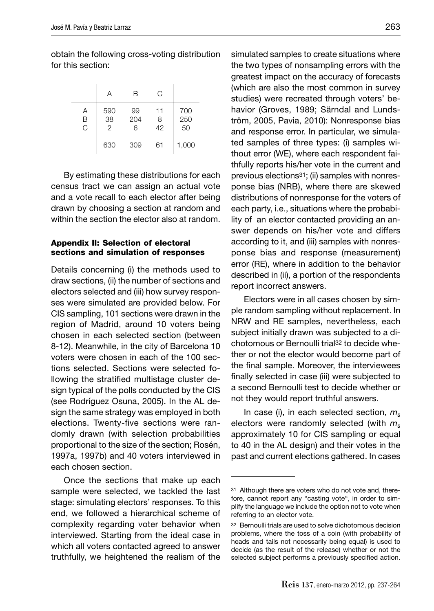obtain the following cross-voting distribution for this section:

|             | Α                           | В              | C             |                  |
|-------------|-----------------------------|----------------|---------------|------------------|
| Α<br>B<br>C | 590<br>38<br>$\overline{2}$ | 99<br>204<br>6 | 11<br>8<br>42 | 700<br>250<br>50 |
|             | 630                         | 309            | 61            | 1,000            |

By estimating these distributions for each census tract we can assign an actual vote and a vote recall to each elector after being drawn by choosing a section at random and within the section the elector also at random.

#### **Appendix II: Selection of electoral sections and simulation of responses**

Details concerning (i) the methods used to draw sections, (ii) the number of sections and electors selected and (iii) how survey responses were simulated are provided below. For CIS sampling, 101 sections were drawn in the region of Madrid, around 10 voters being chosen in each selected section (between 8-12). Meanwhile, in the city of Barcelona 10 voters were chosen in each of the 100 sections selected. Sections were selected following the stratified multistage cluster design typical of the polls conducted by the CIS (see Rodríguez Osuna, 2005). In the AL design the same strategy was employed in both elections. Twenty-five sections were randomly drawn (with selection probabilities proportional to the size of the section; Rosén, 1997a, 1997b) and 40 voters interviewed in each chosen section.

Once the sections that make up each sample were selected, we tackled the last stage: simulating electors' responses. To this end, we followed a hierarchical scheme of complexity regarding voter behavior when interviewed. Starting from the ideal case in which all voters contacted agreed to answer truthfully, we heightened the realism of the

simulated samples to create situations where the two types of nonsampling errors with the greatest impact on the accuracy of forecasts (which are also the most common in survey studies) were recreated through voters' behavior (Groves, 1989; Särndal and Lundström, 2005, Pavia, 2010): Nonresponse bias and response error. In particular, we simulated samples of three types: (i) samples without error (WE), where each respondent faithfully reports his/her vote in the current and previous elections31; (ii) samples with nonresponse bias (NRB), where there are skewed distributions of nonresponse for the voters of each party, i.e., situations where the probability of an elector contacted providing an answer depends on his/her vote and differs according to it, and (iii) samples with nonresponse bias and response (measurement) error (RE), where in addition to the behavior described in (ii), a portion of the respondents report incorrect answers.

Electors were in all cases chosen by simple random sampling without replacement. In NRW and RE samples, nevertheless, each subject initially drawn was subjected to a dichotomous or Bernoulli trial32 to decide whether or not the elector would become part of the final sample. Moreover, the interviewees finally selected in case (iii) were subjected to a second Bernoulli test to decide whether or not they would report truthful answers.

In case (i), in each selected section, *ms* electors were randomly selected (with *ms* approximately 10 for CIS sampling or equal to 40 in the AL design) and their votes in the past and current elections gathered. In cases

<sup>31</sup> Although there are voters who do not vote and, therefore, cannot report any "casting vote", in order to simplify the language we include the option not to vote when referring to an elector vote.

<sup>32</sup> Bernoulli trials are used to solve dichotomous decision problems, where the toss of a coin (with probability of heads and tails not necessarily being equal) is used to decide (as the result of the release) whether or not the selected subject performs a previously specified action.